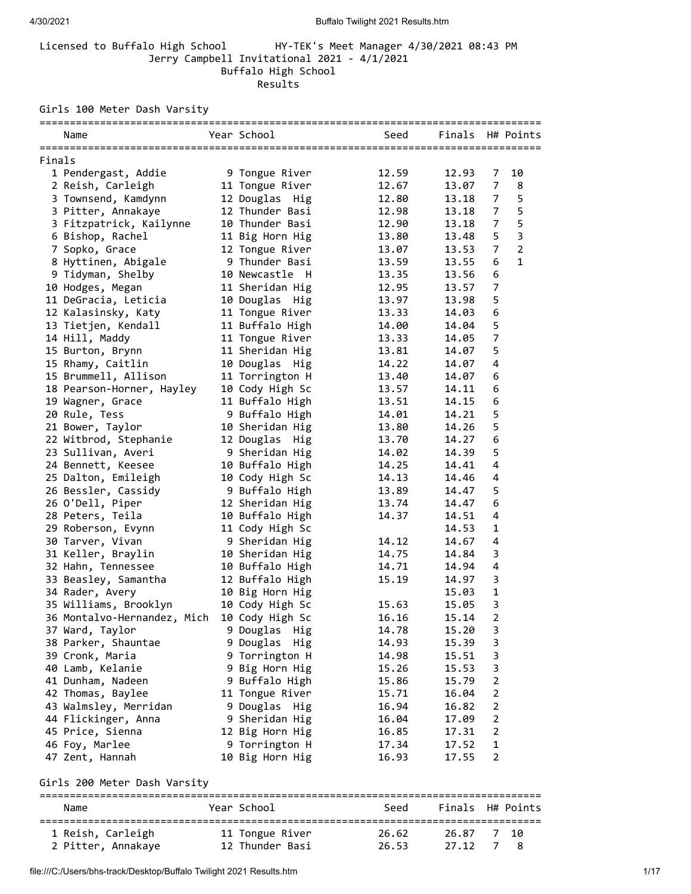## Licensed to Buffalo High School HY-TEK's Meet Manager 4/30/2021 08:43 PM Jerry Campbell Invitational 2021 - 4/1/2021 Buffalo High School Results

Girls 100 Meter Dash Varsity

|        | Name                               | Year School                       | Seed           | Finals H# Points |                     |                |
|--------|------------------------------------|-----------------------------------|----------------|------------------|---------------------|----------------|
| Finals |                                    |                                   |                |                  |                     |                |
|        | 1 Pendergast, Addie                | 9 Tongue River                    | 12.59          | 12.93            | 7                   | 10             |
|        | 2 Reish, Carleigh                  | 11 Tongue River                   | 12.67          | 13.07            | 7                   | 8              |
|        | 3 Townsend, Kamdynn                | 12 Douglas Hig                    | 12.80          | 13.18            | 7                   | 5              |
|        | 3 Pitter, Annakaye                 | 12 Thunder Basi                   | 12.98          | 13.18            | 7                   | 5              |
|        | 3 Fitzpatrick, Kailynne            | 10 Thunder Basi                   | 12.90          | 13.18            | 7                   | 5              |
|        | 6 Bishop, Rachel                   | 11 Big Horn Hig                   | 13.80          | 13.48            | 5                   | $\mathsf 3$    |
|        | 7 Sopko, Grace                     | 12 Tongue River                   | 13.07          | 13.53            | 7                   | $\overline{2}$ |
|        | 8 Hyttinen, Abigale                | 9 Thunder Basi                    | 13.59          | 13.55            | 6                   | $\mathbf{1}$   |
|        | 9 Tidyman, Shelby                  | 10 Newcastle H                    | 13.35          | 13.56            | 6                   |                |
|        | 10 Hodges, Megan                   | 11 Sheridan Hig                   | 12.95          | 13.57            | 7                   |                |
|        | 11 DeGracia, Leticia               | 10 Douglas Hig                    | 13.97          | 13.98            | 5                   |                |
|        | 12 Kalasinsky, Katy                | 11 Tongue River                   | 13.33          | 14.03            | 6                   |                |
|        | 13 Tietjen, Kendall                | 11 Buffalo High                   | 14.00          | 14.04            | 5                   |                |
|        | 14 Hill, Maddy                     | 11 Tongue River                   | 13.33          | 14.05            | 7                   |                |
|        | 15 Burton, Brynn                   | 11 Sheridan Hig                   | 13.81          | 14.07            | 5                   |                |
|        | 15 Rhamy, Caitlin                  | 10 Douglas Hig                    | 14.22          | 14.07            | 4                   |                |
|        | 15 Brummell, Allison               | 11 Torrington H                   | 13.40          | 14.07            | 6                   |                |
|        | 18 Pearson-Horner, Hayley          | 10 Cody High Sc                   | 13.57          | 14.11            | 6                   |                |
|        | 19 Wagner, Grace                   | 11 Buffalo High                   | 13.51          | 14.15            | 6                   |                |
|        | 20 Rule, Tess                      | 9 Buffalo High                    | 14.01          | 14.21            | 5                   |                |
|        | 21 Bower, Taylor                   | 10 Sheridan Hig                   | 13.80          | 14.26            | 5                   |                |
|        | 22 Witbrod, Stephanie              | 12 Douglas Hig                    | 13.70          | 14.27            | 6                   |                |
|        | 23 Sullivan, Averi                 | 9 Sheridan Hig                    | 14.02          | 14.39            | 5                   |                |
|        | 24 Bennett, Keesee                 | 10 Buffalo High                   | 14.25          | 14.41            | 4                   |                |
|        | 25 Dalton, Emileigh                | 10 Cody High Sc                   | 14.13          | 14.46            | 4                   |                |
|        | 26 Bessler, Cassidy                | 9 Buffalo High                    | 13.89          | 14.47            | 5                   |                |
|        | 26 O'Dell, Piper                   | 12 Sheridan Hig                   | 13.74          | 14.47            | 6                   |                |
|        | 28 Peters, Teila                   | 10 Buffalo High                   | 14.37          | 14.51            | 4                   |                |
|        | 29 Roberson, Evynn                 | 11 Cody High Sc                   |                | 14.53            | 1                   |                |
|        | 30 Tarver, Vivan                   | 9 Sheridan Hig                    | 14.12          | 14.67            | 4                   |                |
|        | 31 Keller, Braylin                 | 10 Sheridan Hig                   | 14.75          | 14.84            | 3                   |                |
|        | 32 Hahn, Tennessee                 | 10 Buffalo High                   | 14.71          | 14.94            | 4                   |                |
|        | 33 Beasley, Samantha               | 12 Buffalo High                   | 15.19          | 14.97            | 3                   |                |
|        | 34 Rader, Avery                    | 10 Big Horn Hig                   |                | 15.03            | 1                   |                |
|        | 35 Williams, Brooklyn              | 10 Cody High Sc                   | 15.63          | 15.05            | 3                   |                |
|        | 36 Montalvo-Hernandez, Mich        | 10 Cody High Sc                   | 16.16          | 15.14            | 2                   |                |
|        | 37 Ward, Taylor                    | 9 Douglas Hig                     | 14.78          | 15.20            | 3                   |                |
|        | 38 Parker, Shauntae                | 9 Douglas<br>Hig                  | 14.93          | 15.39            | 3                   |                |
|        | 39 Cronk, Maria                    | 9 Torrington H                    | 14.98          | 15.51            | 3                   |                |
|        | 40 Lamb, Kelanie                   | 9 Big Horn Hig                    | 15.26          | 15.53            | 3                   |                |
|        | 41 Dunham, Nadeen                  | 9 Buffalo High                    | 15.86          | 15.79            | 2                   |                |
|        | 42 Thomas, Baylee                  | 11 Tongue River                   | 15.71          | 16.04            | 2                   |                |
|        | 43 Walmsley, Merridan              | 9 Douglas Hig<br>9 Sheridan Hig   | 16.94          | 16.82            | 2                   |                |
|        | 44 Flickinger, Anna                |                                   | 16.04          | 17.09            | 2<br>$\overline{2}$ |                |
|        | 45 Price, Sienna<br>46 Foy, Marlee | 12 Big Horn Hig                   | 16.85<br>17.34 | 17.31<br>17.52   | $\mathbf{1}$        |                |
|        | 47 Zent, Hannah                    | 9 Torrington H<br>10 Big Horn Hig | 16.93          | 17.55            | 2                   |                |
|        |                                    |                                   |                |                  |                     |                |
|        | Girls 200 Meter Dash Varsity       |                                   |                |                  |                     |                |
|        | Name                               | Year School                       | Seed           | Finals           |                     | H# Points      |
|        | 1 Reish, Carleigh                  | 11 Tongue River                   | 26.62          | 26.87            | 7                   | 10             |
|        | 2 Pitter, Annakaye                 | 12 Thunder Basi                   | 26.53          | 27.12            | 7                   | 8              |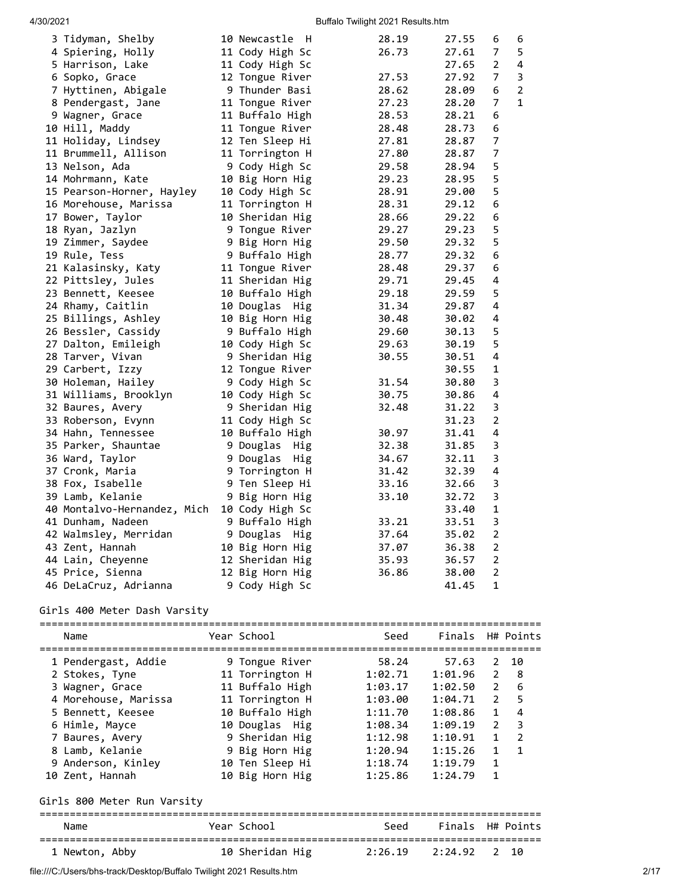| 3 Tidyman, Shelby                        | 10 Newcastle H         | 28.19 | 27.55 | 6              | 6              |
|------------------------------------------|------------------------|-------|-------|----------------|----------------|
| 4 Spiering, Holly                        | 11 Cody High Sc        | 26.73 | 27.61 | $\overline{7}$ | 5              |
| 5 Harrison, Lake                         | 11 Cody High Sc        |       | 27.65 | 2              | 4              |
| 6 Sopko, Grace                           | 12 Tongue River        | 27.53 | 27.92 | 7              | 3              |
| 7 Hyttinen, Abigale                      | 9 Thunder Basi         | 28.62 | 28.09 | 6              | $\overline{2}$ |
| 8 Pendergast, Jane                       | 11 Tongue River        | 27.23 | 28.20 | 7              | $\mathbf{1}$   |
| 9 Wagner, Grace                          | 11 Buffalo High        | 28.53 | 28.21 | 6              |                |
| 10 Hill, Maddy                           | 11 Tongue River        | 28.48 | 28.73 | 6              |                |
| 11 Holiday, Lindsey                      | 12 Ten Sleep Hi        | 27.81 | 28.87 | $\overline{7}$ |                |
| 11 Brummell, Allison                     | 11 Torrington H        | 27.80 | 28.87 | 7              |                |
| 13 Nelson, Ada                           | 9 Cody High Sc         | 29.58 | 28.94 | 5              |                |
| 14 Mohrmann, Kate                        | 10 Big Horn Hig        | 29.23 | 28.95 | 5              |                |
| 15 Pearson-Horner, Hayley                | 10 Cody High Sc        | 28.91 | 29.00 | 5              |                |
| 16 Morehouse, Marissa                    | 11 Torrington H        | 28.31 | 29.12 | 6              |                |
| 17 Bower, Taylor                         | 10 Sheridan Hig        | 28.66 | 29.22 | 6              |                |
| 18 Ryan, Jazlyn                          | 9 Tongue River         | 29.27 | 29.23 | 5              |                |
| 19 Zimmer, Saydee                        | 9 Big Horn Hig         | 29.50 | 29.32 | 5              |                |
| 19 Rule, Tess                            | 9 Buffalo High         | 28.77 | 29.32 | 6              |                |
| 21 Kalasinsky, Katy                      | 11 Tongue River        | 28.48 | 29.37 | 6              |                |
| 22 Pittsley, Jules                       | 11 Sheridan Hig        | 29.71 | 29.45 | 4              |                |
| 23 Bennett, Keesee                       | 10 Buffalo High        | 29.18 | 29.59 | 5              |                |
| 24 Rhamy, Caitlin                        | 10 Douglas Hig         | 31.34 | 29.87 | 4              |                |
| 25 Billings, Ashley                      | 10 Big Horn Hig        | 30.48 | 30.02 | 4              |                |
| 26 Bessler, Cassidy                      | 9 Buffalo High         | 29.60 | 30.13 | 5              |                |
| 27 Dalton, Emileigh                      | 10 Cody High Sc        | 29.63 | 30.19 | 5              |                |
| 28 Tarver, Vivan                         | 9 Sheridan Hig         | 30.55 | 30.51 | 4              |                |
| 29 Carbert, Izzy                         | 12 Tongue River        |       | 30.55 | 1              |                |
| 30 Holeman, Hailey                       | 9 Cody High Sc         | 31.54 | 30.80 | 3              |                |
| 31 Williams, Brooklyn                    | 10 Cody High Sc        | 30.75 | 30.86 | 4              |                |
| 32 Baures, Avery                         | 9 Sheridan Hig         | 32.48 | 31.22 | 3              |                |
| 33 Roberson, Evynn                       | 11 Cody High Sc        |       | 31.23 | $\overline{2}$ |                |
| 34 Hahn, Tennessee                       | 10 Buffalo High        | 30.97 | 31.41 | 4              |                |
| 35 Parker, Shauntae                      | 9 Douglas<br>Hig       | 32.38 | 31.85 | 3              |                |
| 36 Ward, Taylor                          | 9 Douglas<br>Hig       | 34.67 | 32.11 | 3              |                |
| 37 Cronk, Maria                          | 9 Torrington H         | 31.42 | 32.39 | 4              |                |
| 38 Fox, Isabelle                         | 9 Ten Sleep Hi         | 33.16 | 32.66 | 3              |                |
| 39 Lamb, Kelanie                         | 9 Big Horn Hig         | 33.10 | 32.72 | 3              |                |
| 40 Montalvo-Hernandez, Mich              | 10 Cody High Sc        |       | 33.40 | $\mathbf 1$    |                |
| 41 Dunham, Nadeen                        | 9 Buffalo High         | 33.21 | 33.51 | 3              |                |
|                                          | 9 Douglas              | 37.64 | 35.02 | 2              |                |
| 42 Walmsley, Merridan<br>43 Zent, Hannah | Hig<br>10 Big Horn Hig | 37.07 | 36.38 | $\overline{2}$ |                |
|                                          | 12 Sheridan Hig        | 35.93 | 36.57 | $\mathbf 2$    |                |
| 44 Lain, Cheyenne<br>45 Price, Sienna    | 12 Big Horn Hig        | 36.86 | 38.00 | $\overline{2}$ |                |
|                                          |                        |       |       | 1              |                |
| 46 DeLaCruz, Adrianna                    | 9 Cody High Sc         |       | 41.45 |                |                |

# Girls 400 Meter Dash Varsity

| Name                        | Year School     | Seed              | Finals H# Points |                |                |
|-----------------------------|-----------------|-------------------|------------------|----------------|----------------|
| 1 Pendergast, Addie         | 9 Tongue River  | 58.24             | 57.63            | $2^{\circ}$    | 10             |
| 2 Stokes, Tyne              | 11 Torrington H | 1:02.71           | 1:01.96          |                | $2 \quad 8$    |
| 3 Wagner, Grace             | 11 Buffalo High | 1:03.17           | 1:02.50          | $2^{\circ}$    | 6              |
| 4 Morehouse, Marissa        | 11 Torrington H | 1:03.00           | 1:04.71          | $\overline{2}$ | 5              |
| 5 Bennett, Keesee           | 10 Buffalo High | 1:11.70           | 1:08.86          | $\mathbf{1}$   | 4              |
| 6 Himle, Mayce              | 10 Douglas Hig  | 1:08.34           | 1:09.19          | 2              | 3              |
| 7 Baures, Avery             | 9 Sheridan Hig  | 1:12.98           | 1:10.91          | $\mathbf{1}$   | $\overline{2}$ |
| 8 Lamb, Kelanie             | 9 Big Horn Hig  | 1:20.94           | 1:15.26          | $\mathbf{1}$   | $\mathbf{1}$   |
| 9 Anderson, Kinley          | 10 Ten Sleep Hi | 1:18.74           | 1:19.79          | $\mathbf{1}$   |                |
| 10 Zent, Hannah             | 10 Big Horn Hig | 1:25.86           | 1:24.79          | $\mathbf{1}$   |                |
| Girls 800 Meter Run Varsity |                 |                   |                  |                |                |
| Name                        | Year School     | Seed              | Finals H# Points |                |                |
| 1 Newton, Abby              | 10 Sheridan Hig | 2:26.19 2:24.92 2 |                  |                | 10             |

file:///C:/Users/bhs-track/Desktop/Buffalo Twilight 2021 Results.htm 2/17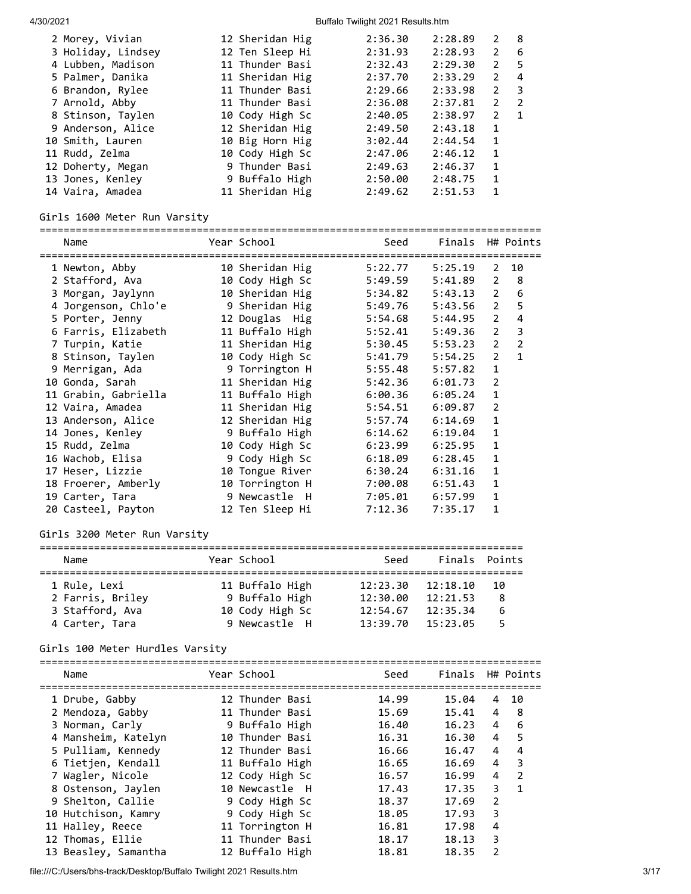| 2 Morey, Vivian    | 12 Sheridan Hig | 2:36.30 | 2:28.89 | 2              | - 8                     |
|--------------------|-----------------|---------|---------|----------------|-------------------------|
| 3 Holiday, Lindsey | 12 Ten Sleep Hi | 2:31.93 | 2:28.93 | $\mathbf{2}$   | - 6                     |
| 4 Lubben, Madison  | 11 Thunder Basi | 2:32.43 | 2:29.30 | 2              | 5                       |
| 5 Palmer, Danika   | 11 Sheridan Hig | 2:37.70 | 2:33.29 | 2              | 4                       |
| 6 Brandon, Rylee   | 11 Thunder Basi | 2:29.66 | 2:33.98 | 2              | $\overline{\mathbf{3}}$ |
| 7 Arnold, Abby     | 11 Thunder Basi | 2:36.08 | 2:37.81 | $\overline{2}$ | -2                      |
| 8 Stinson, Taylen  | 10 Cody High Sc | 2:40.05 | 2:38.97 | 2              | $\blacksquare$          |
| 9 Anderson, Alice  | 12 Sheridan Hig | 2:49.50 | 2:43.18 | 1              |                         |
| 10 Smith, Lauren   | 10 Big Horn Hig | 3:02.44 | 2:44.54 | 1              |                         |
| 11 Rudd, Zelma     | 10 Cody High Sc | 2:47.06 | 2:46.12 | 1              |                         |
| 12 Doherty, Megan  | 9 Thunder Basi  | 2:49.63 | 2:46.37 | $\mathbf{1}$   |                         |
| 13 Jones, Kenley   | 9 Buffalo High  | 2:50.00 | 2:48.75 | $\mathbf{1}$   |                         |
| 14 Vaira, Amadea   | 11 Sheridan Hig | 2:49.62 | 2:51.53 | 1              |                         |
|                    |                 |         |         |                |                         |

# Girls 1600 Meter Run Varsity

| Name                 | Year School     | Seed    | Finals H# Points |                |                |
|----------------------|-----------------|---------|------------------|----------------|----------------|
| 1 Newton, Abby       | 10 Sheridan Hig | 5:22.77 | 5:25.19          | 2              | 10             |
| 2 Stafford, Ava      | 10 Cody High Sc | 5:49.59 | 5:41.89          | $\overline{2}$ | 8              |
| 3 Morgan, Jaylynn    | 10 Sheridan Hig | 5:34.82 | 5:43.13          | $\overline{2}$ | 6              |
| 4 Jorgenson, Chlo'e  | 9 Sheridan Hig  | 5:49.76 | 5:43.56          | $\overline{2}$ | 5              |
| 5 Porter, Jenny      | 12 Douglas Hig  | 5:54.68 | 5:44.95          | $\overline{2}$ | 4              |
| 6 Farris, Elizabeth  | 11 Buffalo High | 5:52.41 | 5:49.36          | $\overline{2}$ | 3              |
| 7 Turpin, Katie      | 11 Sheridan Hig | 5:30.45 | 5:53.23          | $\overline{2}$ | $\overline{2}$ |
| 8 Stinson, Taylen    | 10 Cody High Sc | 5:41.79 | 5:54.25          | $\overline{2}$ | $\mathbf{1}$   |
| 9 Merrigan, Ada      | 9 Torrington H  | 5:55.48 | 5:57.82          | $\mathbf{1}$   |                |
| 10 Gonda, Sarah      | 11 Sheridan Hig | 5:42.36 | 6:01.73          | $\overline{2}$ |                |
| 11 Grabin, Gabriella | 11 Buffalo High | 6:00.36 | 6:05.24          | 1              |                |
| 12 Vaira, Amadea     | 11 Sheridan Hig | 5:54.51 | 6:09.87          | $\overline{2}$ |                |
| 13 Anderson, Alice   | 12 Sheridan Hig | 5:57.74 | 6:14.69          | $\mathbf{1}$   |                |
| 14 Jones, Kenley     | 9 Buffalo High  | 6:14.62 | 6:19.04          | 1              |                |
| 15 Rudd, Zelma       | 10 Cody High Sc | 6:23.99 | 6:25.95          | $\mathbf{1}$   |                |
| 16 Wachob, Elisa     | 9 Cody High Sc  | 6:18.09 | 6:28.45          | 1              |                |
| 17 Heser, Lizzie     | 10 Tongue River | 6:30.24 | 6:31.16          | 1              |                |
| 18 Froerer, Amberly  | 10 Torrington H | 7:00.08 | 6:51.43          | $\mathbf 1$    |                |
| 19 Carter, Tara      | 9 Newcastle H   | 7:05.01 | 6:57.99          | 1              |                |
| 20 Casteel, Payton   | 12 Ten Sleep Hi | 7:12.36 | 7:35.17          | 1              |                |

## Girls 3200 Meter Run Varsity

| Name             | Year School     | Seed     | Finals Points |    |  |  |  |  |  |
|------------------|-----------------|----------|---------------|----|--|--|--|--|--|
|                  |                 |          |               |    |  |  |  |  |  |
| 1 Rule, Lexi     | 11 Buffalo High | 12:23.30 | 12:18.10      | 10 |  |  |  |  |  |
| 2 Farris, Briley | 9 Buffalo High  | 12:30.00 | 12:21.53      | 8  |  |  |  |  |  |
| 3 Stafford, Ava  | 10 Cody High Sc | 12:54.67 | 12:35.34      | 6  |  |  |  |  |  |
| 4 Carter, Tara   | 9 Newcastle H   | 13:39.70 | 15:23.05      |    |  |  |  |  |  |

# Girls 100 Meter Hurdles Varsity

| Name                 | Year School     | Seed  | Finals H# Points |                |                |
|----------------------|-----------------|-------|------------------|----------------|----------------|
| 1 Drube, Gabby       | 12 Thunder Basi | 14.99 | 15.04            | 4              | 10             |
| 2 Mendoza, Gabby     | 11 Thunder Basi | 15.69 | 15.41            | 4              | - 8            |
| 3 Norman, Carly      | 9 Buffalo High  | 16.40 | 16.23            | $\overline{4}$ | 6              |
| 4 Mansheim, Katelyn  | 10 Thunder Basi | 16.31 | 16.30            | 4              | 5              |
| 5 Pulliam, Kennedy   | 12 Thunder Basi | 16.66 | 16.47            | 4              | 4              |
| 6 Tietjen, Kendall   | 11 Buffalo High | 16.65 | 16.69            | 4              | 3              |
| 7 Wagler, Nicole     | 12 Cody High Sc | 16.57 | 16.99            | 4              | $\overline{2}$ |
| 8 Ostenson, Jaylen   | 10 Newcastle H  | 17.43 | 17.35            | 3              | $\mathbf{1}$   |
| 9 Shelton, Callie    | 9 Cody High Sc  | 18.37 | 17.69            | 2              |                |
| 10 Hutchison, Kamry  | 9 Cody High Sc  | 18.05 | 17.93            | 3              |                |
| 11 Halley, Reece     | 11 Torrington H | 16.81 | 17.98            | 4              |                |
| 12 Thomas, Ellie     | 11 Thunder Basi | 18.17 | 18.13            | 3              |                |
| 13 Beasley, Samantha | 12 Buffalo High | 18.81 | 18.35            | $\overline{2}$ |                |

file:///C:/Users/bhs-track/Desktop/Buffalo Twilight 2021 Results.htm 3/17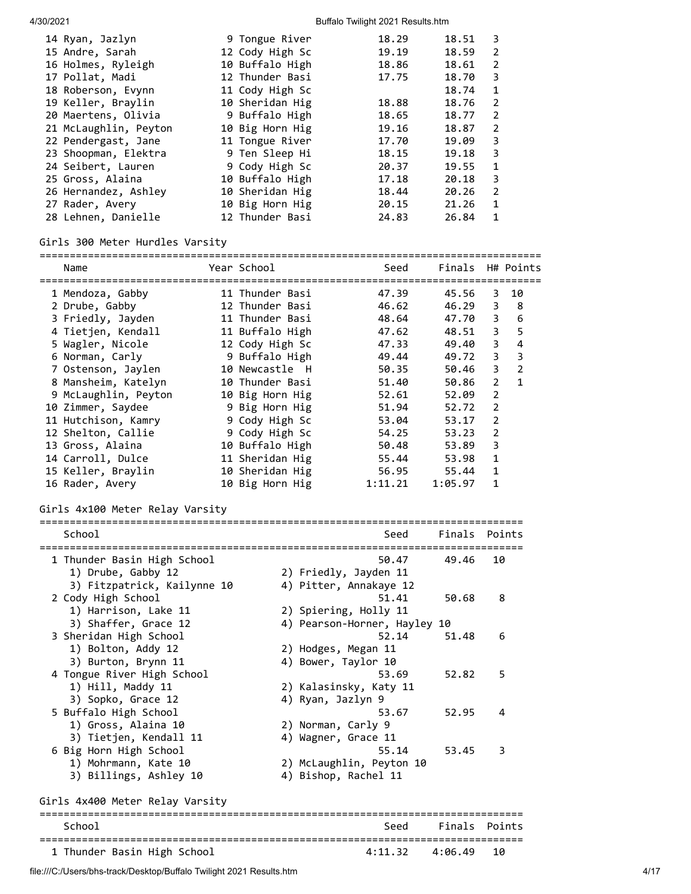| 14 Ryan, Jazlyn       | 9 Tongue River  | 18.29 | 18.51 | 3 |
|-----------------------|-----------------|-------|-------|---|
| 15 Andre, Sarah       | 12 Cody High Sc | 19.19 | 18.59 | 2 |
| 16 Holmes, Ryleigh    | 10 Buffalo High | 18.86 | 18.61 | 2 |
| 17 Pollat, Madi       | 12 Thunder Basi | 17.75 | 18.70 | 3 |
| 18 Roberson, Evynn    | 11 Cody High Sc |       | 18.74 | 1 |
| 19 Keller, Braylin    | 10 Sheridan Hig | 18.88 | 18.76 | 2 |
| 20 Maertens, Olivia   | 9 Buffalo High  | 18.65 | 18.77 | 2 |
| 21 McLaughlin, Peyton | 10 Big Horn Hig | 19.16 | 18.87 | 2 |
| 22 Pendergast, Jane   | 11 Tongue River | 17.70 | 19.09 | З |
| 23 Shoopman, Elektra  | 9 Ten Sleep Hi  | 18.15 | 19.18 | З |
| 24 Seibert, Lauren    | 9 Cody High Sc  | 20.37 | 19.55 | 1 |
| 25 Gross, Alaina      | 10 Buffalo High | 17.18 | 20.18 | 3 |
| 26 Hernandez, Ashley  | 10 Sheridan Hig | 18.44 | 20.26 | 2 |
| 27 Rader, Avery       | 10 Big Horn Hig | 20.15 | 21.26 | 1 |
| 28 Lehnen, Danielle   | 12 Thunder Basi | 24.83 | 26.84 | 1 |

## Girls 300 Meter Hurdles Varsity

===================================================================================

| Name<br>====================================== | Year School     | Seed<br>==========                     | Finals<br>=============  |                | H# Points               |
|------------------------------------------------|-----------------|----------------------------------------|--------------------------|----------------|-------------------------|
| 1 Mendoza, Gabby                               | 11 Thunder Basi | 47.39                                  | 45.56                    | 3              | 10                      |
| 2 Drube, Gabby                                 | 12 Thunder Basi | 46.62                                  | 46.29                    | 3              | 8                       |
| 3 Friedly, Jayden                              | 11 Thunder Basi | 48.64                                  | 47.70                    | 3              | 6                       |
| 4 Tietjen, Kendall                             | 11 Buffalo High | 47.62                                  | 48.51                    | 3              | 5                       |
| 5 Wagler, Nicole                               | 12 Cody High Sc | 47.33                                  | 49.40                    | 3              | $\overline{\mathbf{4}}$ |
| 6 Norman, Carly                                | 9 Buffalo High  | 49.44                                  | 49.72                    | 3              | $\mathbf{3}$            |
| 7 Ostenson, Jaylen                             | 10 Newcastle H  | 50.35                                  | 50.46                    | 3              | $\overline{2}$          |
| 8 Mansheim, Katelyn                            | 10 Thunder Basi | 51.40                                  | 50.86                    | $\overline{2}$ | $\mathbf{1}$            |
| 9 McLaughlin, Peyton                           | 10 Big Horn Hig | 52.61                                  | 52.09                    | $\overline{2}$ |                         |
| 10 Zimmer, Saydee                              | 9 Big Horn Hig  | 51.94                                  | 52.72                    | 2              |                         |
| 11 Hutchison, Kamry                            | 9 Cody High Sc  | 53.04                                  | 53.17                    | 2              |                         |
| 12 Shelton, Callie                             | 9 Cody High Sc  | 54.25                                  | 53.23                    | $\overline{2}$ |                         |
| 13 Gross, Alaina                               | 10 Buffalo High | 50.48                                  | 53.89                    | 3              |                         |
| 14 Carroll, Dulce                              | 11 Sheridan Hig | 55.44                                  | 53.98                    | $\mathbf{1}$   |                         |
| 15 Keller, Braylin                             | 10 Sheridan Hig | 56.95                                  | 55.44                    | $\mathbf{1}$   |                         |
| 16 Rader, Avery                                | 10 Big Horn Hig | 1:11.21                                | 1:05.97                  | 1              |                         |
| Girls 4x100 Meter Relay Varsity                |                 |                                        |                          |                |                         |
| School                                         |                 | Seed<br>------------------------------ | Finals                   |                | Points                  |
| 1 Thunder Basin High School                    |                 | 50.47                                  | 49.46                    | 10             |                         |
| 1) Drube, Gabby 12                             |                 | 2) Friedly, Jayden 11                  |                          |                |                         |
| 3) Fitzpatrick, Kailynne 10                    |                 | 4) Pitter, Annakaye 12                 |                          |                |                         |
| 2 Cody High School                             |                 | 51.41                                  | 50.68                    | 8              |                         |
| 1) Harrison, Lake 11                           |                 | 2) Spiering, Holly 11                  |                          |                |                         |
| 3) Shaffer, Grace 12                           |                 | 4) Pearson-Horner, Hayley 10           |                          |                |                         |
| 3 Sheridan High School                         |                 | 52.14                                  | 51.48                    | 6              |                         |
| 1) Bolton, Addy 12                             |                 | 2) Hodges, Megan 11                    |                          |                |                         |
| 3) Burton, Brynn 11                            |                 | 4) Bower, Taylor 10                    |                          |                |                         |
| 4 Tongue River High School                     |                 | 53.69                                  | 52.82                    | 5              |                         |
| 1) Hill, Maddy 11                              |                 | 2) Kalasinsky, Katy 11                 |                          |                |                         |
| 3) Sopko, Grace 12                             |                 | 4) Ryan, Jazlyn 9                      |                          |                |                         |
| 5 Buffalo High School                          |                 | 53.67                                  | 52.95                    |                | 4                       |
| 1) Gross, Alaina 10                            |                 | 2) Norman, Carly 9                     |                          |                |                         |
| 3) Tietjen, Kendall 11                         |                 | 4) Wagner, Grace 11                    |                          |                |                         |
| 6 Big Horn High School                         |                 | 55.14                                  | 53.45                    | 3              |                         |
| 1) Mohrmann, Kate 10                           |                 | 2) McLaughlin, Peyton 10               |                          |                |                         |
| 3) Billings, Ashley 10                         |                 | 4) Bishop, Rachel 11                   |                          |                |                         |
| Girls 4x400 Meter Relay Varsity                |                 |                                        |                          |                |                         |
| ------------<br>School                         |                 | ======================<br>Seed         | Finals                   | =========      | Points                  |
| 1 Thunder Basin High School                    |                 | 4:11.32                                | =============<br>4:06.49 | 10             |                         |

file:///C:/Users/bhs-track/Desktop/Buffalo Twilight 2021 Results.htm 4/17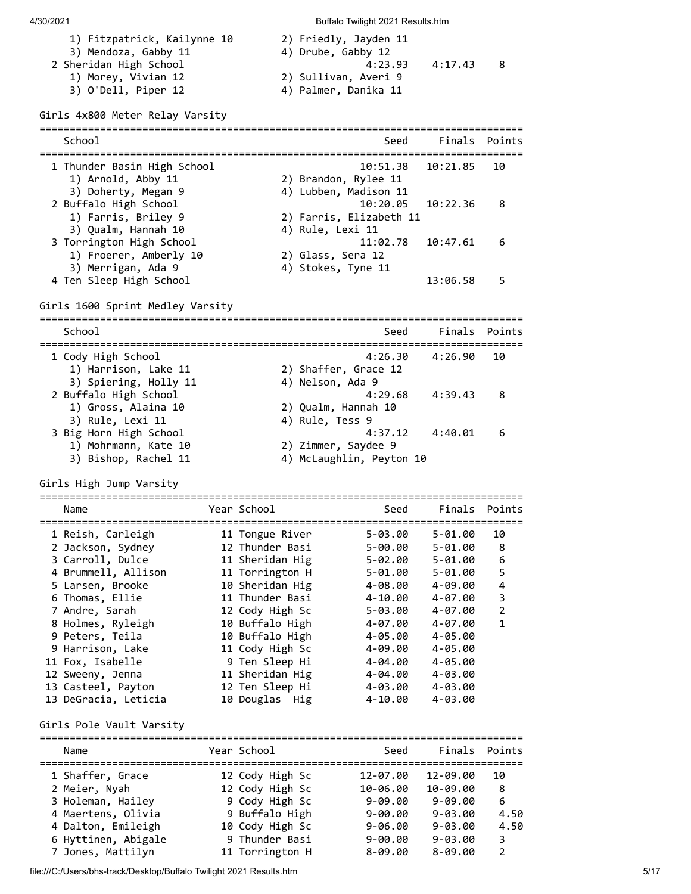| 4/30/2021                                           |                 |                                             |                                   |                    |                |
|-----------------------------------------------------|-----------------|---------------------------------------------|-----------------------------------|--------------------|----------------|
|                                                     |                 |                                             | Buffalo Twilight 2021 Results.htm |                    |                |
| 1) Fitzpatrick, Kailynne 10<br>3) Mendoza, Gabby 11 |                 | 2) Friedly, Jayden 11<br>4) Drube, Gabby 12 |                                   |                    |                |
| 2 Sheridan High School                              |                 |                                             | 4:23.93                           | 4:17.43            | 8              |
| 1) Morey, Vivian 12                                 |                 | 2) Sullivan, Averi 9                        |                                   |                    |                |
| 3) O'Dell, Piper 12                                 |                 | 4) Palmer, Danika 11                        |                                   |                    |                |
| Girls 4x800 Meter Relay Varsity                     |                 |                                             |                                   |                    |                |
| School                                              |                 |                                             | Seed                              |                    | Finals Points  |
|                                                     |                 |                                             |                                   |                    |                |
| 1 Thunder Basin High School                         |                 |                                             | 10:51.38                          | 10:21.85           | 10             |
| 1) Arnold, Abby 11                                  |                 | 2) Brandon, Rylee 11                        |                                   |                    |                |
| 3) Doherty, Megan 9                                 |                 | 4) Lubben, Madison 11                       |                                   |                    |                |
| 2 Buffalo High School                               |                 |                                             | 10:20.05                          | 10:22.36           | 8              |
| 1) Farris, Briley 9<br>3) Qualm, Hannah 10          |                 | 4) Rule, Lexi 11                            | 2) Farris, Elizabeth 11           |                    |                |
| 3 Torrington High School                            |                 |                                             | 11:02.78                          | 10:47.61           | 6              |
| 1) Froerer, Amberly 10                              |                 | 2) Glass, Sera 12                           |                                   |                    |                |
| 3) Merrigan, Ada 9                                  |                 | 4) Stokes, Tyne 11                          |                                   |                    |                |
| 4 Ten Sleep High School                             |                 |                                             |                                   | 13:06.58           | 5              |
|                                                     |                 |                                             |                                   |                    |                |
| Girls 1600 Sprint Medley Varsity                    |                 |                                             |                                   |                    |                |
|                                                     |                 |                                             |                                   |                    |                |
| School                                              |                 |                                             | Seed                              |                    | Finals Points  |
| 1 Cody High School                                  |                 |                                             | 4:26.30                           | 4:26.90            | 10             |
| 1) Harrison, Lake 11                                |                 | 2) Shaffer, Grace 12                        |                                   |                    |                |
| 3) Spiering, Holly 11                               |                 | 4) Nelson, Ada 9                            |                                   |                    |                |
| 2 Buffalo High School                               |                 |                                             | 4:29.68                           | 4:39.43            | 8              |
| 1) Gross, Alaina 10                                 |                 | 2) Qualm, Hannah 10                         |                                   |                    |                |
| 3) Rule, Lexi 11                                    |                 | 4) Rule, Tess 9                             |                                   |                    |                |
| 3 Big Horn High School                              |                 |                                             | 4:37.12                           | 4:40.01            | 6              |
| 1) Mohrmann, Kate 10                                |                 | 2) Zimmer, Saydee 9                         |                                   |                    |                |
| 3) Bishop, Rachel 11                                |                 |                                             | 4) McLaughlin, Peyton 10          |                    |                |
| Girls High Jump Varsity                             |                 |                                             |                                   |                    |                |
|                                                     |                 |                                             |                                   |                    |                |
| Name                                                | Year School     |                                             | Seed                              |                    | Finals Points  |
| 1 Reish, Carleigh                                   | 11 Tongue River |                                             | $5 - 03.00$                       | 5-01.00            | 10             |
| 2 Jackson, Sydney                                   | 12 Thunder Basi |                                             | 5-00.00                           | $5 - 01.00$        | 8              |
| 3 Carroll, Dulce                                    | 11 Sheridan Hig |                                             | $5 - 02.00$                       | $5 - 01.00$        | 6              |
| 4 Brummell, Allison                                 | 11 Torrington H |                                             | 5-01.00                           | $5 - 01.00$        | 5              |
| 5 Larsen, Brooke                                    | 10 Sheridan Hig |                                             | 4-08.00                           | 4-09.00            | 4              |
| 6 Thomas, Ellie                                     | 11 Thunder Basi |                                             | 4-10.00                           | 4-07.00            | 3              |
| 7 Andre, Sarah                                      | 12 Cody High Sc |                                             | 5-03.00                           | 4-07.00            | $\overline{2}$ |
| 8 Holmes, Ryleigh                                   | 10 Buffalo High |                                             | 4-07.00                           | 4-07.00            | $\mathbf{1}$   |
| 9 Peters, Teila                                     | 10 Buffalo High |                                             | 4-05.00                           | 4-05.00            |                |
| 9 Harrison, Lake                                    | 11 Cody High Sc |                                             | 4-09.00                           | 4-05.00            |                |
| 11 Fox, Isabelle                                    | 9 Ten Sleep Hi  |                                             | 4-04.00                           | 4-05.00            |                |
| 12 Sweeny, Jenna                                    | 11 Sheridan Hig |                                             | 4-04.00                           | 4-03.00            |                |
| 13 Casteel, Payton                                  | 12 Ten Sleep Hi |                                             | 4-03.00                           | 4-03.00            |                |
| 13 DeGracia, Leticia                                | 10 Douglas Hig  |                                             | 4-10.00                           | 4-03.00            |                |
| Girls Pole Vault Varsity                            |                 |                                             |                                   |                    |                |
|                                                     |                 |                                             |                                   |                    |                |
| Name                                                | Year School     |                                             |                                   | Seed Finals Points |                |

| Name                | Year School     | Seed        |             | Finals Points |
|---------------------|-----------------|-------------|-------------|---------------|
| 1 Shaffer, Grace    | 12 Cody High Sc | 12-07.00    | 12-09.00    | 10            |
| 2 Meier, Nyah       | 12 Cody High Sc | 10-06.00    | 10-09.00    | 8             |
| 3 Holeman, Hailey   | 9 Cody High Sc  | $9 - 09.00$ | $9 - 09.00$ | 6             |
| 4 Maertens, Olivia  | 9 Buffalo High  | $9 - 00.00$ | $9 - 03.00$ | 4.50          |
| 4 Dalton, Emileigh  | 10 Cody High Sc | $9 - 06.00$ | $9 - 03.00$ | 4.50          |
| 6 Hyttinen, Abigale | 9 Thunder Basi  | $9 - 00.00$ | $9 - 03.00$ | 3             |
| 7 Jones, Mattilyn   | 11 Torrington H | $8 - 09.00$ | $8 - 09.00$ | $\mathcal{P}$ |

file:///C:/Users/bhs-track/Desktop/Buffalo Twilight 2021 Results.htm 5/17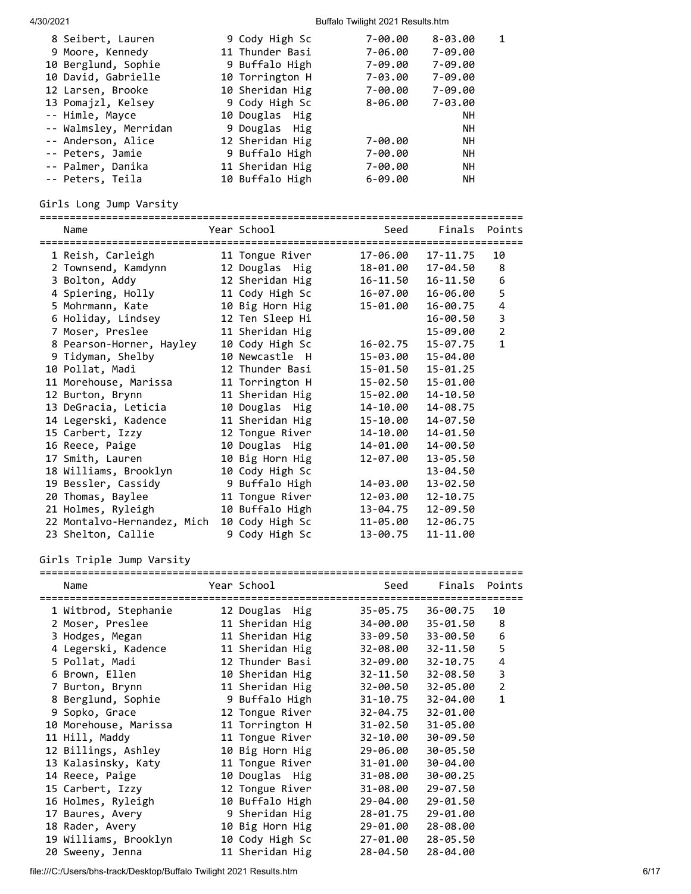| 8 Seibert, Lauren     | 9 Cody High Sc  | 7-00.00     | $8 - 03.00$ |  |
|-----------------------|-----------------|-------------|-------------|--|
|                       |                 |             |             |  |
| 9 Moore, Kennedy      | 11 Thunder Basi | 7-06.00     | 7-09.00     |  |
| 10 Berglund, Sophie   | 9 Buffalo High  | 7-09.00     | 7-09.00     |  |
| 10 David, Gabrielle   | 10 Torrington H | 7-03.00     | 7-09.00     |  |
| 12 Larsen, Brooke     | 10 Sheridan Hig | 7-00.00     | 7-09.00     |  |
| 13 Pomajzl, Kelsey    | 9 Cody High Sc  | 8-06.00     | 7-03.00     |  |
| -- Himle, Mayce       | 10 Douglas Hig  |             | <b>NH</b>   |  |
| -- Walmsley, Merridan | 9 Douglas Hig   |             | <b>NH</b>   |  |
| -- Anderson, Alice    | 12 Sheridan Hig | 7-00.00     | <b>NH</b>   |  |
| -- Peters, Jamie      | 9 Buffalo High  | 7-00.00     | <b>NH</b>   |  |
| -- Palmer, Danika     | 11 Sheridan Hig | $7 - 00.00$ | <b>NH</b>   |  |
| -- Peters, Teila      | 10 Buffalo High | $6 - 09.00$ | <b>NH</b>   |  |

#### Girls Long Jump Varsity

================================================================================ Name The Year School Contract Seed Finals Points ================================================================================ 1 Reish, Carleigh 11 Tongue River 17-06.00 17-11.75 10 2 Townsend, Kamdynn 12 Douglas Hig 18-01.00 17-04.50 8 3 Bolton, Addy 12 Sheridan Hig 16-11.50 16-11.50 6 4 Spiering, Holly 11 Cody High Sc 16-07.00 16-06.00 5 5 Mohrmann, Kate 10 Big Horn Hig 15-01.00 16-00.75 4 6 Holiday, Lindsey 12 Ten Sleep Hi 16-00.50 3 7 Moser, Preslee 11 Sheridan Hig 15-09.00 2 8 Pearson-Horner, Hayley 10 Cody High Sc 16-02.75 15-07.75 1 9 Tidyman, Shelby 10 Newcastle H 15-03.00 15-04.00 10 Pollat, Madi 12 Thunder Basi 15-01.50 15-01.25 11 Morehouse, Marissa 11 Torrington H 15-02.50 15-01.00 12 Burton, Brynn 11 Sheridan Hig 15-02.00 14-10.50 13 DeGracia, Leticia 10 Douglas Hig 14-10.00 14-08.75 14 Legerski, Kadence 11 Sheridan Hig 15-10.00 14-07.50 15 Carbert, Izzy 12 Tongue River 14-10.00 14-01.50 16 Reece, Paige 10 Douglas Hig 14-01.00 14-00.50 17 Smith, Lauren 10 Big Horn Hig 12-07.00 13-05.50 18 Williams, Brooklyn 10 Cody High Sc 13-04.50 19 Bessler, Cassidy 9 Buffalo High 14-03.00 13-02.50 20 Thomas, Baylee 11 Tongue River 12-03.00 12-10.75 20 Thomas, Baylee 11 Tongue River 12-03.00 12-10.75<br>21 Holmes, Ryleigh 10 Buffalo High 13-04.75 12-09.50 22 Montalvo-Hernandez, Mich 10 Cody High Sc 11-05.00 12-06.75 23 Shelton, Callie 9 Cody High Sc 13-00.75 11-11.00

#### Girls Triple Jump Varsity

| Name                  | Year School     | Seed     | Finals       | Points<br>============= |
|-----------------------|-----------------|----------|--------------|-------------------------|
| 1 Witbrod, Stephanie  | 12 Douglas Hig  | 35-05.75 | 36-00.75     | 10                      |
| 2 Moser, Preslee      | 11 Sheridan Hig | 34-00.00 | 35-01.50     | 8                       |
| 3 Hodges, Megan       | 11 Sheridan Hig | 33-09.50 | 33-00.50     | 6                       |
| 4 Legerski, Kadence   | 11 Sheridan Hig | 32-08.00 | 32-11.50     | 5                       |
| 5 Pollat, Madi        | 12 Thunder Basi | 32-09.00 | $32 - 10.75$ | 4                       |
| 6 Brown, Ellen        | 10 Sheridan Hig | 32-11.50 | 32-08.50     | 3                       |
| 7 Burton, Brynn       | 11 Sheridan Hig | 32-00.50 | 32-05.00     | $\overline{2}$          |
| 8 Berglund, Sophie    | 9 Buffalo High  | 31-10.75 | 32-04.00     | $\mathbf{1}$            |
| 9 Sopko, Grace        | 12 Tongue River | 32-04.75 | 32-01.00     |                         |
| 10 Morehouse, Marissa | 11 Torrington H | 31-02.50 | 31-05.00     |                         |
| 11 Hill, Maddy        | 11 Tongue River | 32-10.00 | 30-09.50     |                         |
| 12 Billings, Ashley   | 10 Big Horn Hig | 29-06.00 | 30-05.50     |                         |
| 13 Kalasinsky, Katy   | 11 Tongue River | 31-01.00 | 30-04.00     |                         |
| 14 Reece, Paige       | 10 Douglas Hig  | 31-08.00 | 30-00.25     |                         |
| 15 Carbert, Izzy      | 12 Tongue River | 31-08.00 | 29-07.50     |                         |
| 16 Holmes, Ryleigh    | 10 Buffalo High | 29-04.00 | 29-01.50     |                         |
| 17 Baures, Avery      | 9 Sheridan Hig  | 28-01.75 | 29-01.00     |                         |
| 18 Rader, Avery       | 10 Big Horn Hig | 29-01.00 | 28-08.00     |                         |
| 19 Williams, Brooklyn | 10 Cody High Sc | 27-01.00 | 28-05.50     |                         |
| 20 Sweeny, Jenna      | 11 Sheridan Hig | 28-04.50 | 28-04.00     |                         |

file:///C:/Users/bhs-track/Desktop/Buffalo Twilight 2021 Results.htm 6/17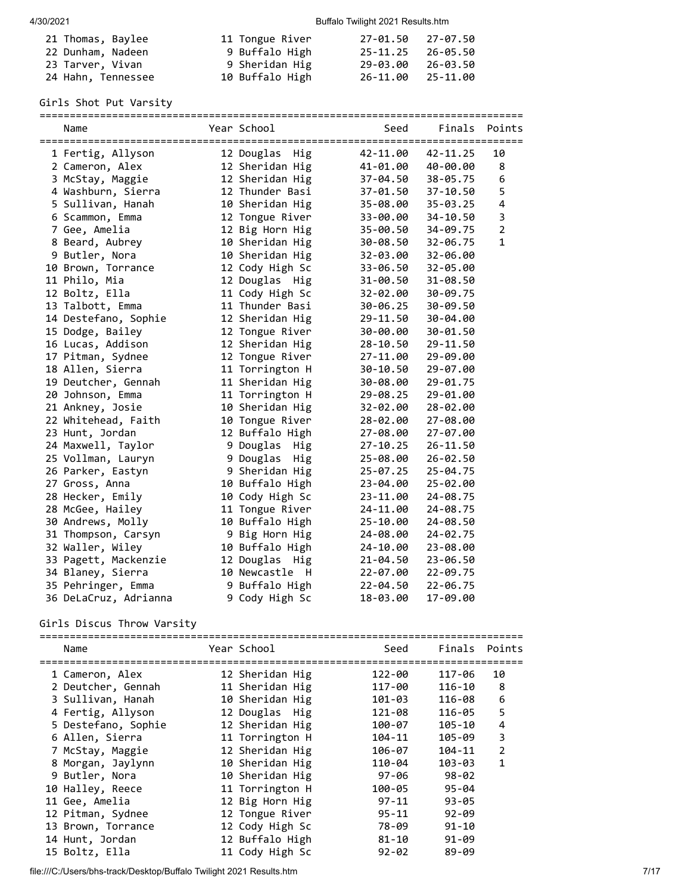| 21 Thomas, Baylee  | 11 Tongue River | 27-01.50 27-07.50 |          |
|--------------------|-----------------|-------------------|----------|
| 22 Dunham, Nadeen  | 9 Buffalo High  | 25-11.25 26-05.50 |          |
| 23 Tarver, Vivan   | 9 Sheridan Hig  | 29-03.00          | 26-03.50 |
| 24 Hahn, Tennessee | 10 Buffalo High | 26-11.00          | 25-11.00 |

## Girls Shot Put Varsity

| Name                  | Year School       | Seed         | Finals       | Points                  |
|-----------------------|-------------------|--------------|--------------|-------------------------|
| 1 Fertig, Allyson     | 12 Douglas Hig    | 42-11.00     | $42 - 11.25$ | 10                      |
| 2 Cameron, Alex       | 12 Sheridan Hig   | 41-01.00     | 40-00.00     | 8                       |
| 3 McStay, Maggie      | 12 Sheridan Hig   | 37-04.50     | 38-05.75     | $\boldsymbol{6}$        |
| 4 Washburn, Sierra    | 12 Thunder Basi   | 37-01.50     | 37-10.50     | 5                       |
| 5 Sullivan, Hanah     | 10 Sheridan Hig   | 35-08.00     | $35 - 03.25$ | $\overline{\mathbf{4}}$ |
| 6 Scammon, Emma       | 12 Tongue River   | 33-00.00     | 34-10.50     | 3                       |
| 7 Gee, Amelia         | 12 Big Horn Hig   | 35-00.50     | 34-09.75     | $\overline{2}$          |
| 8 Beard, Aubrey       | 10 Sheridan Hig   | 30-08.50     | 32-06.75     | $\mathbf{1}$            |
| 9 Butler, Nora        | 10 Sheridan Hig   | 32-03.00     | 32-06.00     |                         |
| 10 Brown, Torrance    | 12 Cody High Sc   | 33-06.50     | 32-05.00     |                         |
| 11 Philo, Mia         | 12 Douglas Hig    | 31-00.50     | 31-08.50     |                         |
| 12 Boltz, Ella        | 11 Cody High Sc   | 32-02.00     | 30-09.75     |                         |
| 13 Talbott, Emma      | 11 Thunder Basi   | 30-06.25     | 30-09.50     |                         |
| 14 Destefano, Sophie  | 12 Sheridan Hig   | 29-11.50     | 30-04.00     |                         |
| 15 Dodge, Bailey      | 12 Tongue River   | 30-00.00     | 30-01.50     |                         |
| 16 Lucas, Addison     | 12 Sheridan Hig   | $28 - 10.50$ | 29-11.50     |                         |
| 17 Pitman, Sydnee     | 12 Tongue River   | 27-11.00     | 29-09.00     |                         |
| 18 Allen, Sierra      | 11 Torrington H   | 30-10.50     | 29-07.00     |                         |
| 19 Deutcher, Gennah   | 11 Sheridan Hig   | 30-08.00     | 29-01.75     |                         |
| 20 Johnson, Emma      | 11 Torrington H   | 29-08.25     | 29-01.00     |                         |
| 21 Ankney, Josie      | 10 Sheridan Hig   | 32-02.00     | 28-02.00     |                         |
| 22 Whitehead, Faith   | 10 Tongue River   | 28-02.00     | 27-08.00     |                         |
| 23 Hunt, Jordan       | 12 Buffalo High   | 27-08.00     | 27-07.00     |                         |
| 24 Maxwell, Taylor    | 9 Douglas<br>Hig  | $27 - 10.25$ | 26-11.50     |                         |
| 25 Vollman, Lauryn    | 9 Douglas<br>Hig  | 25-08.00     | 26-02.50     |                         |
| 26 Parker, Eastyn     | 9 Sheridan Hig    | $25 - 07.25$ | 25-04.75     |                         |
| 27 Gross, Anna        | 10 Buffalo High   | 23-04.00     | 25-02.00     |                         |
| 28 Hecker, Emily      | 10 Cody High Sc   | 23-11.00     | 24-08.75     |                         |
| 28 McGee, Hailey      | 11 Tongue River   | 24-11.00     | 24-08.75     |                         |
| 30 Andrews, Molly     | 10 Buffalo High   | $25 - 10.00$ | 24-08.50     |                         |
| 31 Thompson, Carsyn   | 9 Big Horn Hig    | 24-08.00     | 24-02.75     |                         |
| 32 Waller, Wiley      | 10 Buffalo High   | 24-10.00     | 23-08.00     |                         |
| 33 Pagett, Mackenzie  | 12 Douglas Hig    | 21-04.50     | 23-06.50     |                         |
| 34 Blaney, Sierra     | 10 Newcastle<br>H | 22-07.00     | 22-09.75     |                         |
| 35 Pehringer, Emma    | 9 Buffalo High    | $22 - 04.50$ | $22 - 06.75$ |                         |
| 36 DeLaCruz, Adrianna | 9 Cody High Sc    | 18-03.00     | 17-09.00     |                         |

## Girls Discus Throw Varsity

| Name                | Year School     | Seed      | Finals Points |                |
|---------------------|-----------------|-----------|---------------|----------------|
| 1 Cameron, Alex     | 12 Sheridan Hig | 122-00    | 117-06        | 10             |
| 2 Deutcher, Gennah  | 11 Sheridan Hig | 117-00    | 116-10        | 8              |
| 3 Sullivan, Hanah   | 10 Sheridan Hig | 101-03    | 116-08        | 6              |
| 4 Fertig, Allyson   | 12 Douglas Hig  | 121-08    | 116-05        | 5              |
| 5 Destefano, Sophie | 12 Sheridan Hig | 100-07    | $105 - 10$    | 4              |
| 6 Allen, Sierra     | 11 Torrington H | 104-11    | 105-09        | 3              |
| 7 McStay, Maggie    | 12 Sheridan Hig | 106-07    | 104-11        | $\overline{2}$ |
| 8 Morgan, Jaylynn   | 10 Sheridan Hig | 110-04    | $103 - 03$    | $\mathbf{1}$   |
| 9 Butler, Nora      | 10 Sheridan Hig | 97-06     | $98 - 02$     |                |
| 10 Halley, Reece    | 11 Torrington H | 100-05    | $95 - 04$     |                |
| 11 Gee, Amelia      | 12 Big Horn Hig | 97-11     | $93 - 05$     |                |
| 12 Pitman, Sydnee   | 12 Tongue River | $95 - 11$ | $92 - 09$     |                |
| 13 Brown, Torrance  | 12 Cody High Sc | 78-09     | $91 - 10$     |                |
| 14 Hunt, Jordan     | 12 Buffalo High | $81 - 10$ | $91 - 09$     |                |
| 15 Boltz, Ella      | 11 Cody High Sc | $92 - 02$ | 89-09         |                |

file:///C:/Users/bhs-track/Desktop/Buffalo Twilight 2021 Results.htm 7/17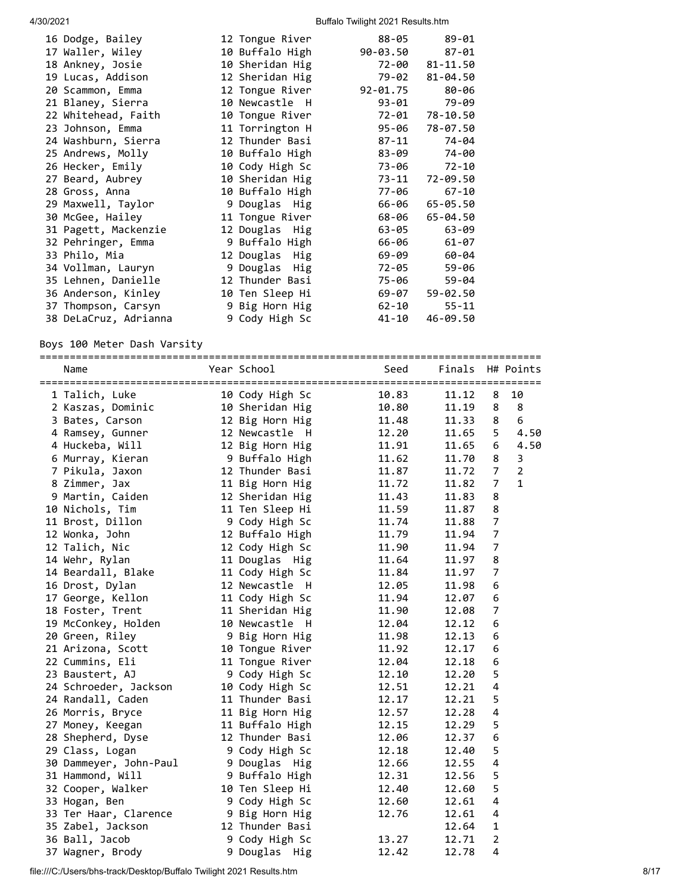| 16 Dodge, Bailey      | 12 Tongue River | $88 - 05$    | $89 - 01$ |
|-----------------------|-----------------|--------------|-----------|
| 17 Waller, Wiley      | 10 Buffalo High | 90-03.50     | $87 - 01$ |
| 18 Ankney, Josie      | 10 Sheridan Hig | 72-00        | 81-11.50  |
| 19 Lucas, Addison     | 12 Sheridan Hig | 79-02        | 81-04.50  |
| 20 Scammon, Emma      | 12 Tongue River | $92 - 01.75$ | 80-06     |
| 21 Blaney, Sierra     | 10 Newcastle H  | 93-01        | 79-09     |
| 22 Whitehead, Faith   | 10 Tongue River | 72-01        | 78-10.50  |
| 23 Johnson, Emma      | 11 Torrington H | 95-06        | 78-07.50  |
| 24 Washburn, Sierra   | 12 Thunder Basi | 87-11        | 74-04     |
| 25 Andrews, Molly     | 10 Buffalo High | 83-09        | 74-00     |
| 26 Hecker, Emily      | 10 Cody High Sc | 73-06        | $72 - 10$ |
| 27 Beard, Aubrey      | 10 Sheridan Hig | 73-11        | 72-09.50  |
| 28 Gross, Anna        | 10 Buffalo High | 77-06        | $67 - 10$ |
| 29 Maxwell, Taylor    | 9 Douglas Hig   | 66-06        | 65-05.50  |
| 30 McGee, Hailey      | 11 Tongue River | 68-06        | 65-04.50  |
| 31 Pagett, Mackenzie  | 12 Douglas Hig  | 63-05        | $63 - 09$ |
| 32 Pehringer, Emma    | 9 Buffalo High  | 66-06        | $61 - 07$ |
| 33 Philo, Mia         | 12 Douglas Hig  | 69-09        | 60-04     |
| 34 Vollman, Lauryn    | 9 Douglas Hig   | 72-05        | $59 - 06$ |
| 35 Lehnen, Danielle   | 12 Thunder Basi | 75-06        | $59 - 04$ |
| 36 Anderson, Kinley   | 10 Ten Sleep Hi | 69-07        | 59-02.50  |
| 37 Thompson, Carsyn   | 9 Big Horn Hig  | 62-10        | $55 - 11$ |
| 38 DeLaCruz, Adrianna | 9 Cody High Sc  | 41-10        | 46-09.50  |

## Boys 100 Meter Dash Varsity

| Name                   | Year School     | Seed  | Finals H# Points |                |                |
|------------------------|-----------------|-------|------------------|----------------|----------------|
| 1 Talich, Luke         | 10 Cody High Sc | 10.83 | 11.12            | 8              | 10             |
| 2 Kaszas, Dominic      | 10 Sheridan Hig | 10.80 | 11.19            | 8              | 8              |
| 3 Bates, Carson        | 12 Big Horn Hig | 11.48 | 11.33            | 8              | 6              |
| 4 Ramsey, Gunner       | 12 Newcastle H  | 12.20 | 11.65            | 5              | 4.50           |
| 4 Huckeba, Will        | 12 Big Horn Hig | 11.91 | 11.65            | 6              | 4.50           |
| 6 Murray, Kieran       | 9 Buffalo High  | 11.62 | 11.70            | 8              | 3              |
| 7 Pikula, Jaxon        | 12 Thunder Basi | 11.87 | 11.72            | $\overline{7}$ | $\overline{2}$ |
| 8 Zimmer, Jax          | 11 Big Horn Hig | 11.72 | 11.82            | 7              | $\mathbf{1}$   |
| 9 Martin, Caiden       | 12 Sheridan Hig | 11.43 | 11.83            | 8              |                |
| 10 Nichols, Tim        | 11 Ten Sleep Hi | 11.59 | 11.87            | 8              |                |
| 11 Brost, Dillon       | 9 Cody High Sc  | 11.74 | 11.88            | 7              |                |
| 12 Wonka, John         | 12 Buffalo High | 11.79 | 11.94            | $\overline{7}$ |                |
| 12 Talich, Nic         | 12 Cody High Sc | 11.90 | 11.94            | $\overline{7}$ |                |
| 14 Wehr, Rylan         | 11 Douglas Hig  | 11.64 | 11.97            | 8              |                |
| 14 Beardall, Blake     | 11 Cody High Sc | 11.84 | 11.97            | 7              |                |
| 16 Drost, Dylan        | 12 Newcastle H  | 12.05 | 11.98            | 6              |                |
| 17 George, Kellon      | 11 Cody High Sc | 11.94 | 12.07            | 6              |                |
| 18 Foster, Trent       | 11 Sheridan Hig | 11.90 | 12.08            | 7              |                |
| 19 McConkey, Holden    | 10 Newcastle H  | 12.04 | 12.12            | 6              |                |
| 20 Green, Riley        | 9 Big Horn Hig  | 11.98 | 12.13            | 6              |                |
| 21 Arizona, Scott      | 10 Tongue River | 11.92 | 12.17            | 6              |                |
| 22 Cummins, Eli        | 11 Tongue River | 12.04 | 12.18            | 6              |                |
| 23 Baustert, AJ        | 9 Cody High Sc  | 12.10 | 12.20            | 5              |                |
| 24 Schroeder, Jackson  | 10 Cody High Sc | 12.51 | 12.21            | 4              |                |
| 24 Randall, Caden      | 11 Thunder Basi | 12.17 | 12.21            | 5              |                |
| 26 Morris, Bryce       | 11 Big Horn Hig | 12.57 | 12.28            | 4              |                |
| 27 Money, Keegan       | 11 Buffalo High | 12.15 | 12.29            | 5              |                |
| 28 Shepherd, Dyse      | 12 Thunder Basi | 12.06 | 12.37            | 6              |                |
| 29 Class, Logan        | 9 Cody High Sc  | 12.18 | 12.40            | 5              |                |
| 30 Dammeyer, John-Paul | 9 Douglas Hig   | 12.66 | 12.55            | 4              |                |
| 31 Hammond, Will       | 9 Buffalo High  | 12.31 | 12.56            | 5              |                |
| 32 Cooper, Walker      | 10 Ten Sleep Hi | 12.40 | 12.60            | 5              |                |
| 33 Hogan, Ben          | 9 Cody High Sc  | 12.60 | 12.61            | 4              |                |
| 33 Ter Haar, Clarence  | 9 Big Horn Hig  | 12.76 | 12.61            | $\overline{4}$ |                |
| 35 Zabel, Jackson      | 12 Thunder Basi |       | 12.64            | $\mathbf{1}$   |                |
| 36 Ball, Jacob         | 9 Cody High Sc  | 13.27 | 12.71            | $\overline{2}$ |                |
| 37 Wagner, Brody       | 9 Douglas Hig   | 12.42 | 12.78            | 4              |                |

file:///C:/Users/bhs-track/Desktop/Buffalo Twilight 2021 Results.htm 8/17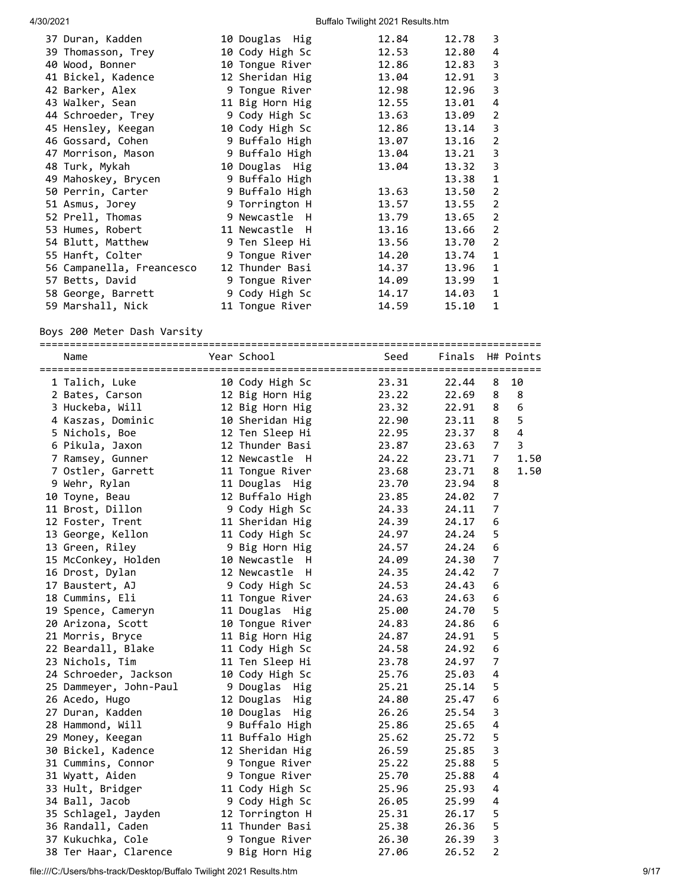| 37 Duran, Kadden          | 10 Douglas Hig  | 12.84 | 12.78 | 3            |
|---------------------------|-----------------|-------|-------|--------------|
| 39 Thomasson, Trey        | 10 Cody High Sc | 12.53 | 12.80 | 4            |
| 40 Wood, Bonner           | 10 Tongue River | 12.86 | 12.83 | 3            |
| 41 Bickel, Kadence        | 12 Sheridan Hig | 13.04 | 12.91 | 3            |
| 42 Barker, Alex           | 9 Tongue River  | 12.98 | 12.96 | 3            |
| 43 Walker, Sean           | 11 Big Horn Hig | 12.55 | 13.01 | 4            |
| 44 Schroeder, Trey        | 9 Cody High Sc  | 13.63 | 13.09 | 2            |
| 45 Hensley, Keegan        | 10 Cody High Sc | 12.86 | 13.14 | 3            |
| 46 Gossard, Cohen         | 9 Buffalo High  | 13.07 | 13.16 | 2            |
| 47 Morrison, Mason        | 9 Buffalo High  | 13.04 | 13.21 | 3            |
| 48 Turk, Mykah            | 10 Douglas Hig  | 13.04 | 13.32 | 3            |
| 49 Mahoskey, Brycen       | 9 Buffalo High  |       | 13.38 | 1            |
| 50 Perrin, Carter         | 9 Buffalo High  | 13.63 | 13.50 | 2            |
| 51 Asmus, Jorey           | 9 Torrington H  | 13.57 | 13.55 | 2            |
| 52 Prell, Thomas          | 9 Newcastle H   | 13.79 | 13.65 | 2            |
| 53 Humes, Robert          | 11 Newcastle H  | 13.16 | 13.66 | 2            |
| 54 Blutt, Matthew         | 9 Ten Sleep Hi  | 13.56 | 13.70 | 2            |
| 55 Hanft, Colter          | 9 Tongue River  | 14.20 | 13.74 | 1            |
| 56 Campanella, Freancesco | 12 Thunder Basi | 14.37 | 13.96 | $\mathbf{1}$ |
| 57 Betts, David           | 9 Tongue River  | 14.09 | 13.99 | 1            |
| 58 George, Barrett        | 9 Cody High Sc  | 14.17 | 14.03 | 1            |
| 59 Marshall, Nick         | 11 Tongue River | 14.59 | 15.10 | $\mathbf 1$  |

Boys 200 Meter Dash Varsity

| ============<br>Name   | Year School     | Seed  | Finals |                | H# Points      |
|------------------------|-----------------|-------|--------|----------------|----------------|
| 1 Talich, Luke         | 10 Cody High Sc | 23.31 | 22.44  | 8              | 10             |
| 2 Bates, Carson        | 12 Big Horn Hig | 23.22 | 22.69  | 8              | 8              |
| 3 Huckeba, Will        | 12 Big Horn Hig | 23.32 | 22.91  | 8              | 6              |
| 4 Kaszas, Dominic      | 10 Sheridan Hig | 22.90 | 23.11  | 8              | 5              |
| 5 Nichols, Boe         | 12 Ten Sleep Hi | 22.95 | 23.37  | 8              | $\overline{4}$ |
| 6 Pikula, Jaxon        | 12 Thunder Basi | 23.87 | 23.63  | 7              | 3              |
| 7 Ramsey, Gunner       | 12 Newcastle H  | 24.22 | 23.71  | $\overline{7}$ | 1.50           |
| 7 Ostler, Garrett      | 11 Tongue River | 23.68 | 23.71  | 8              | 1.50           |
| 9 Wehr, Rylan          | 11 Douglas Hig  | 23.70 | 23.94  | 8              |                |
| 10 Toyne, Beau         | 12 Buffalo High | 23.85 | 24.02  | 7              |                |
| 11 Brost, Dillon       | 9 Cody High Sc  | 24.33 | 24.11  | 7              |                |
| 12 Foster, Trent       | 11 Sheridan Hig | 24.39 | 24.17  | 6              |                |
| 13 George, Kellon      | 11 Cody High Sc | 24.97 | 24.24  | 5              |                |
| 13 Green, Riley        | 9 Big Horn Hig  | 24.57 | 24.24  | 6              |                |
| 15 McConkey, Holden    | 10 Newcastle H  | 24.09 | 24.30  | $\overline{7}$ |                |
| 16 Drost, Dylan        | 12 Newcastle H  | 24.35 | 24.42  | $\overline{7}$ |                |
| 17 Baustert, AJ        | 9 Cody High Sc  | 24.53 | 24.43  | 6              |                |
| 18 Cummins, Eli        | 11 Tongue River | 24.63 | 24.63  | 6              |                |
| 19 Spence, Cameryn     | 11 Douglas Hig  | 25.00 | 24.70  | 5              |                |
| 20 Arizona, Scott      | 10 Tongue River | 24.83 | 24.86  | 6              |                |
| 21 Morris, Bryce       | 11 Big Horn Hig | 24.87 | 24.91  | 5              |                |
| 22 Beardall, Blake     | 11 Cody High Sc | 24.58 | 24.92  | 6              |                |
| 23 Nichols, Tim        | 11 Ten Sleep Hi | 23.78 | 24.97  | 7              |                |
| 24 Schroeder, Jackson  | 10 Cody High Sc | 25.76 | 25.03  | 4              |                |
| 25 Dammeyer, John-Paul | 9 Douglas Hig   | 25.21 | 25.14  | 5              |                |
| 26 Acedo, Hugo         | 12 Douglas Hig  | 24.80 | 25.47  | 6              |                |
| 27 Duran, Kadden       | 10 Douglas Hig  | 26.26 | 25.54  | 3              |                |
| 28 Hammond, Will       | 9 Buffalo High  | 25.86 | 25.65  | 4              |                |
| 29 Money, Keegan       | 11 Buffalo High | 25.62 | 25.72  | 5              |                |
| 30 Bickel, Kadence     | 12 Sheridan Hig | 26.59 | 25.85  | 3              |                |
| 31 Cummins, Connor     | 9 Tongue River  | 25.22 | 25.88  | 5              |                |
| 31 Wyatt, Aiden        | 9 Tongue River  | 25.70 | 25.88  | 4              |                |
| 33 Hult, Bridger       | 11 Cody High Sc | 25.96 | 25.93  | 4              |                |
| 34 Ball, Jacob         | 9 Cody High Sc  | 26.05 | 25.99  | 4              |                |
| 35 Schlagel, Jayden    | 12 Torrington H | 25.31 | 26.17  | 5              |                |
| 36 Randall, Caden      | 11 Thunder Basi | 25.38 | 26.36  | 5              |                |
| 37 Kukuchka, Cole      | 9 Tongue River  | 26.30 | 26.39  | 3              |                |
| 38 Ter Haar, Clarence  | 9 Big Horn Hig  | 27.06 | 26.52  | $\overline{2}$ |                |

file:///C:/Users/bhs-track/Desktop/Buffalo Twilight 2021 Results.htm 9/17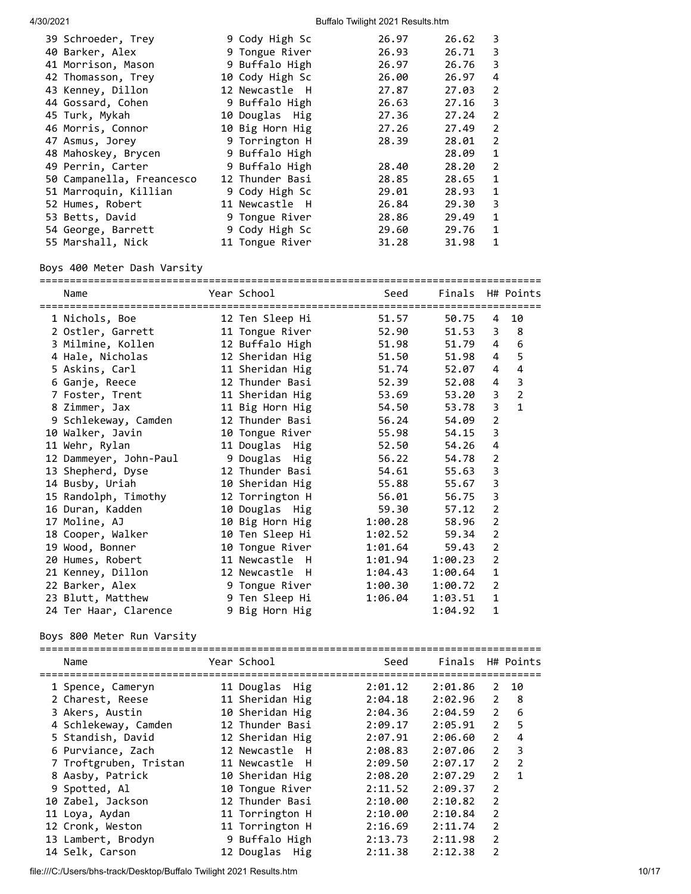|  | 26.62<br>3                                                                                                                                                                                                                                                                                                                                                                                                                                                         |
|--|--------------------------------------------------------------------------------------------------------------------------------------------------------------------------------------------------------------------------------------------------------------------------------------------------------------------------------------------------------------------------------------------------------------------------------------------------------------------|
|  | 26.71<br>3                                                                                                                                                                                                                                                                                                                                                                                                                                                         |
|  | 26.76<br>3                                                                                                                                                                                                                                                                                                                                                                                                                                                         |
|  | 26.97<br>4                                                                                                                                                                                                                                                                                                                                                                                                                                                         |
|  | 27.03<br>2                                                                                                                                                                                                                                                                                                                                                                                                                                                         |
|  | 27.16<br>3                                                                                                                                                                                                                                                                                                                                                                                                                                                         |
|  | 27.24<br>2                                                                                                                                                                                                                                                                                                                                                                                                                                                         |
|  | 27.49<br>2                                                                                                                                                                                                                                                                                                                                                                                                                                                         |
|  | 2<br>28.01                                                                                                                                                                                                                                                                                                                                                                                                                                                         |
|  | 28.09<br>1                                                                                                                                                                                                                                                                                                                                                                                                                                                         |
|  | 28.20<br>2                                                                                                                                                                                                                                                                                                                                                                                                                                                         |
|  | 28.65<br>1                                                                                                                                                                                                                                                                                                                                                                                                                                                         |
|  | 28.93<br>1                                                                                                                                                                                                                                                                                                                                                                                                                                                         |
|  | 29.30<br>3                                                                                                                                                                                                                                                                                                                                                                                                                                                         |
|  | 29.49<br>1                                                                                                                                                                                                                                                                                                                                                                                                                                                         |
|  | 29.76<br>1                                                                                                                                                                                                                                                                                                                                                                                                                                                         |
|  | 31.98<br>1                                                                                                                                                                                                                                                                                                                                                                                                                                                         |
|  | 9 Cody High Sc<br>26.97<br>9 Tongue River<br>26.93<br>9 Buffalo High<br>26.97<br>10 Cody High Sc<br>26.00<br>12 Newcastle H<br>27.87<br>9 Buffalo High<br>26.63<br>27.36<br>10 Douglas Hig<br>10 Big Horn Hig<br>27.26<br>9 Torrington H<br>28.39<br>9 Buffalo High<br>9 Buffalo High<br>28.40<br>12 Thunder Basi<br>28.85<br>9 Cody High Sc<br>29.01<br>26.84<br>11 Newcastle H<br>9 Tongue River<br>28.86<br>9 Cody High Sc<br>29.60<br>11 Tongue River<br>31.28 |

## Boys 400 Meter Dash Varsity

| Name                                 | Year School     | Seed    | Finals H# Points |                |                |
|--------------------------------------|-----------------|---------|------------------|----------------|----------------|
| 1 Nichols, Boe                       | 12 Ten Sleep Hi | 51.57   | 50.75            | 4              | 10             |
| 2 Ostler, Garrett                    | 11 Tongue River | 52.90   | 51.53            | 3              | 8              |
| 3 Milmine, Kollen 12 Buffalo High    |                 | 51.98   | 51.79            | 4              | 6              |
| 4 Hale, Nicholas                     | 12 Sheridan Hig | 51.50   | 51.98            | 4              | 5              |
| 5 Askins, Carl                       | 11 Sheridan Hig | 51.74   | 52.07            | 4              | 4              |
| 6 Ganje, Reece                       | 12 Thunder Basi | 52.39   | 52.08            | 4              | 3              |
| 7 Foster, Trent                      | 11 Sheridan Hig | 53.69   | 53.20            | 3              | $\overline{2}$ |
| 8 Zimmer, Jax                        | 11 Big Horn Hig | 54.50   | 53.78            | 3              | $\mathbf{1}$   |
| 9 Schlekeway, Camden 12 Thunder Basi |                 | 56.24   | 54.09            | $\overline{2}$ |                |
| 10 Walker, Javin                     | 10 Tongue River | 55.98   | 54.15            | 3              |                |
| 11 Wehr, Rylan                       | 11 Douglas Hig  | 52.50   | 54.26            | 4              |                |
| 12 Dammeyer, John-Paul               | 9 Douglas Hig   | 56.22   | 54.78            | $\overline{2}$ |                |
| 13 Shepherd, Dyse                    | 12 Thunder Basi | 54.61   | 55.63            | 3              |                |
| 14 Busby, Uriah                      | 10 Sheridan Hig | 55.88   | 55.67            | 3              |                |
| 15 Randolph, Timothy                 | 12 Torrington H | 56.01   | 56.75            | 3              |                |
| 16 Duran, Kadden                     | 10 Douglas Hig  | 59.30   | 57.12            | $\overline{2}$ |                |
| 17 Moline, AJ                        | 10 Big Horn Hig | 1:00.28 | 58.96            | $\overline{2}$ |                |
| 18 Cooper, Walker                    | 10 Ten Sleep Hi | 1:02.52 | 59.34            | $\overline{2}$ |                |
| 19 Wood, Bonner                      | 10 Tongue River | 1:01.64 | 59.43            | $\overline{2}$ |                |
| 20 Humes, Robert                     | 11 Newcastle H  | 1:01.94 | 1:00.23          | $\overline{2}$ |                |
| 21 Kenney, Dillon                    | 12 Newcastle H  | 1:04.43 | 1:00.64          | 1              |                |
| 22 Barker, Alex                      | 9 Tongue River  | 1:00.30 | 1:00.72          | $\overline{2}$ |                |
| 23 Blutt, Matthew                    | 9 Ten Sleep Hi  | 1:06.04 | 1:03.51          | 1              |                |
| 24 Ter Haar, Clarence                | 9 Big Horn Hig  |         | 1:04.92          | 1              |                |

## Boys 800 Meter Run Varsity

| Name                   | Year School     | Seed    | Finals  |                | H# Points      |
|------------------------|-----------------|---------|---------|----------------|----------------|
| 1 Spence, Cameryn      | 11 Douglas Hig  | 2:01.12 | 2:01.86 | 2              | 10             |
| 2 Charest, Reese       | 11 Sheridan Hig | 2:04.18 | 2:02.96 | 2              | - 8            |
| 3 Akers, Austin        | 10 Sheridan Hig | 2:04.36 | 2:04.59 | $\overline{2}$ | 6              |
| 4 Schlekeway, Camden   | 12 Thunder Basi | 2:09.17 | 2:05.91 | $\overline{2}$ | 5              |
| 5 Standish, David      | 12 Sheridan Hig | 2:07.91 | 2:06.60 | $\mathfrak{p}$ | 4              |
| 6 Purviance, Zach      | 12 Newcastle H  | 2:08.83 | 2:07.06 | $\overline{2}$ | 3              |
| 7 Troftgruben, Tristan | 11 Newcastle H  | 2:09.50 | 2:07.17 | $\overline{2}$ | $\overline{2}$ |
| 8 Aasby, Patrick       | 10 Sheridan Hig | 2:08.20 | 2:07.29 | $\mathfrak{p}$ | $\mathbf{1}$   |
| 9 Spotted, Al          | 10 Tongue River | 2:11.52 | 2:09.37 | 2              |                |
| 10 Zabel, Jackson      | 12 Thunder Basi | 2:10.00 | 2:10.82 | $\overline{2}$ |                |
| 11 Loya, Aydan         | 11 Torrington H | 2:10.00 | 2:10.84 | $\overline{2}$ |                |
| 12 Cronk, Weston       | 11 Torrington H | 2:16.69 | 2:11.74 | 2              |                |
| 13 Lambert, Brodyn     | 9 Buffalo High  | 2:13.73 | 2:11.98 | 2              |                |
| 14 Selk, Carson        | 12 Douglas Hig  | 2:11.38 | 2:12.38 | $\overline{2}$ |                |

file:///C:/Users/bhs-track/Desktop/Buffalo Twilight 2021 Results.htm 10/17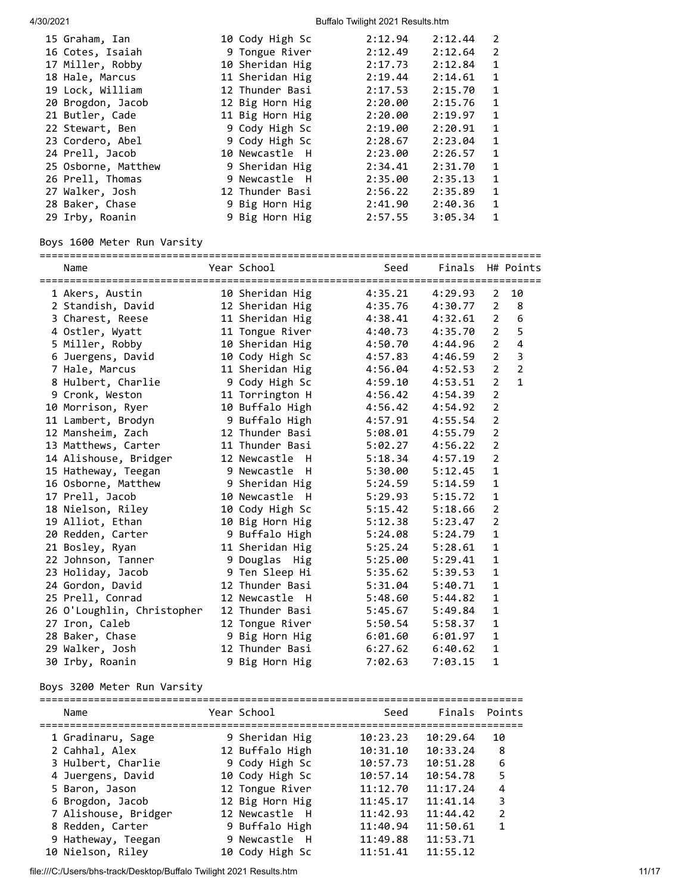| 15 Graham, Ian      | 10 Cody High Sc | 2:12.94 | 2:12.44 | 2            |
|---------------------|-----------------|---------|---------|--------------|
| 16 Cotes, Isaiah    | 9 Tongue River  | 2:12.49 | 2:12.64 | 2            |
| 17 Miller, Robby    | 10 Sheridan Hig | 2:17.73 | 2:12.84 | $\mathbf{1}$ |
| 18 Hale, Marcus     | 11 Sheridan Hig | 2:19.44 | 2:14.61 | 1            |
| 19 Lock, William    | 12 Thunder Basi | 2:17.53 | 2:15.70 | 1            |
| 20 Brogdon, Jacob   | 12 Big Horn Hig | 2:20.00 | 2:15.76 | 1            |
| 21 Butler, Cade     | 11 Big Horn Hig | 2:20.00 | 2:19.97 | $\mathbf{1}$ |
| 22 Stewart, Ben     | 9 Cody High Sc  | 2:19.00 | 2:20.91 | $\mathbf{1}$ |
| 23 Cordero, Abel    | 9 Cody High Sc  | 2:28.67 | 2:23.04 | $\mathbf{1}$ |
| 24 Prell, Jacob     | 10 Newcastle H  | 2:23.00 | 2:26.57 | $\mathbf{1}$ |
| 25 Osborne, Matthew | 9 Sheridan Hig  | 2:34.41 | 2:31.70 | 1            |
| 26 Prell, Thomas    | 9 Newcastle H   | 2:35.00 | 2:35.13 | 1            |
| 27 Walker, Josh     | 12 Thunder Basi | 2:56.22 | 2:35.89 | 1            |
| 28 Baker, Chase     | 9 Big Horn Hig  | 2:41.90 | 2:40.36 | 1            |
| 29 Irby, Roanin     | 9 Big Horn Hig  | 2:57.55 | 3:05.34 | $\mathbf{1}$ |
|                     |                 |         |         |              |

## Boys 1600 Meter Run Varsity

#### ===================================================================================

| Name<br>=================================== | Year School          | Seed    | Finals  | =======        | H# Points               |
|---------------------------------------------|----------------------|---------|---------|----------------|-------------------------|
| 1 Akers, Austin                             | 10 Sheridan Hig      | 4:35.21 | 4:29.93 | $\overline{2}$ | 10                      |
| 2 Standish, David                           | 12 Sheridan Hig      | 4:35.76 | 4:30.77 | 2              | 8                       |
| 3 Charest, Reese                            | 11 Sheridan Hig      | 4:38.41 | 4:32.61 | $\overline{2}$ | 6                       |
| 4 Ostler, Wyatt                             | 11 Tongue River      | 4:40.73 | 4:35.70 | $\overline{2}$ | 5                       |
| 5 Miller, Robby                             | 10 Sheridan Hig      | 4:50.70 | 4:44.96 | $\overline{2}$ | $\overline{\mathbf{4}}$ |
| 6 Juergens, David                           | 10 Cody High Sc      | 4:57.83 | 4:46.59 | $\overline{2}$ | $\overline{\mathbf{3}}$ |
| 7 Hale, Marcus                              | 11 Sheridan Hig      | 4:56.04 | 4:52.53 | $\overline{2}$ | $\overline{2}$          |
| 8 Hulbert, Charlie                          | 9 Cody High Sc       | 4:59.10 | 4:53.51 | $\overline{2}$ | $\mathbf{1}$            |
| 9 Cronk, Weston                             | 11 Torrington H      | 4:56.42 | 4:54.39 | $\overline{2}$ |                         |
| 10 Morrison, Ryer                           | 10 Buffalo High      | 4:56.42 | 4:54.92 | $\overline{2}$ |                         |
| 11 Lambert, Brodyn                          | 9 Buffalo High       | 4:57.91 | 4:55.54 | $\overline{2}$ |                         |
| 12 Mansheim, Zach                           | 12 Thunder Basi      | 5:08.01 | 4:55.79 | $\overline{2}$ |                         |
| 13 Matthews, Carter                         | 11 Thunder Basi      | 5:02.27 | 4:56.22 | $\overline{2}$ |                         |
| 14 Alishouse, Bridger                       | 12 Newcastle<br>$-H$ | 5:18.34 | 4:57.19 | $\overline{2}$ |                         |
| 15 Hatheway, Teegan                         | 9 Newcastle H        | 5:30.00 | 5:12.45 | $\mathbf{1}$   |                         |
| 16 Osborne, Matthew                         | 9 Sheridan Hig       | 5:24.59 | 5:14.59 | 1              |                         |
| 17 Prell, Jacob                             | 10 Newcastle<br>H    | 5:29.93 | 5:15.72 | $\mathbf{1}$   |                         |
| 18 Nielson, Riley                           | 10 Cody High Sc      | 5:15.42 | 5:18.66 | $\overline{2}$ |                         |
| 19 Alliot, Ethan                            | 10 Big Horn Hig      | 5:12.38 | 5:23.47 | $\overline{2}$ |                         |
| 20 Redden, Carter                           | 9 Buffalo High       | 5:24.08 | 5:24.79 | $\mathbf{1}$   |                         |
| 21 Bosley, Ryan                             | 11 Sheridan Hig      | 5:25.24 | 5:28.61 | 1              |                         |
| 22 Johnson, Tanner                          | 9 Douglas Hig        | 5:25.00 | 5:29.41 | $\mathbf{1}$   |                         |
| 23 Holiday, Jacob                           | 9 Ten Sleep Hi       | 5:35.62 | 5:39.53 | $\mathbf{1}$   |                         |
| 24 Gordon, David                            | 12 Thunder Basi      | 5:31.04 | 5:40.71 | $\mathbf{1}$   |                         |
| 25 Prell, Conrad                            | 12 Newcastle H       | 5:48.60 | 5:44.82 | 1              |                         |
| 26 O'Loughlin, Christopher                  | 12 Thunder Basi      | 5:45.67 | 5:49.84 | 1              |                         |
| 27 Iron, Caleb                              | 12 Tongue River      | 5:50.54 | 5:58.37 | 1              |                         |
| 28 Baker, Chase                             | 9 Big Horn Hig       | 6:01.60 | 6:01.97 | $\mathbf{1}$   |                         |
| 29 Walker, Josh                             | 12 Thunder Basi      | 6:27.62 | 6:40.62 | 1              |                         |
| 30 Irby, Roanin                             | 9 Big Horn Hig       | 7:02.63 | 7:03.15 | $\mathbf{1}$   |                         |

## Boys 3200 Meter Run Varsity

| Name                 | Year School     | Seed     | Finals Points |                |
|----------------------|-----------------|----------|---------------|----------------|
| 1 Gradinaru, Sage    | 9 Sheridan Hig  | 10:23.23 | 10:29.64      | 10             |
| 2 Cahhal, Alex       | 12 Buffalo High | 10:31.10 | 10:33.24      | 8              |
| 3 Hulbert, Charlie   | 9 Cody High Sc  | 10:57.73 | 10:51.28      | 6              |
| 4 Juergens, David    | 10 Cody High Sc | 10:57.14 | 10:54.78      | 5              |
| 5 Baron, Jason       | 12 Tongue River | 11:12.70 | 11:17.24      | 4              |
| 6 Brogdon, Jacob     | 12 Big Horn Hig | 11:45.17 | 11:41.14      | 3              |
| 7 Alishouse, Bridger | 12 Newcastle H  | 11:42.93 | 11:44.42      | $\overline{2}$ |
| 8 Redden, Carter     | 9 Buffalo High  | 11:40.94 | 11:50.61      | 1              |
| 9 Hatheway, Teegan   | 9 Newcastle H   | 11:49.88 | 11:53.71      |                |
| 10 Nielson, Riley    | 10 Cody High Sc | 11:51.41 | 11:55.12      |                |

file:///C:/Users/bhs-track/Desktop/Buffalo Twilight 2021 Results.htm 11/17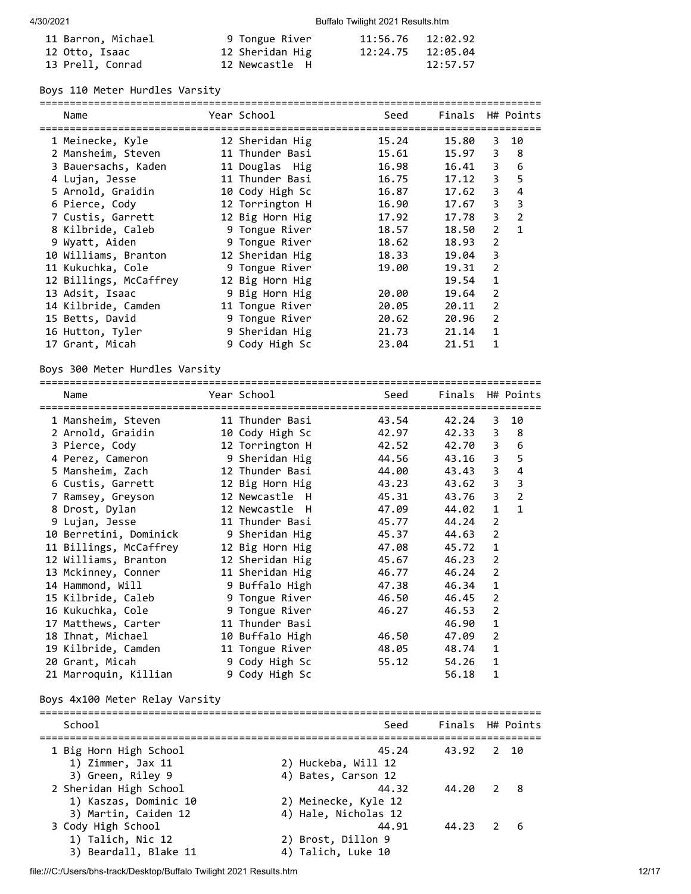| 11 Barron, Michael | 9 Tongue River  | 11:56.76 12:02.92 |          |
|--------------------|-----------------|-------------------|----------|
| 12 Otto, Isaac     | 12 Sheridan Hig |                   |          |
| 13 Prell, Conrad   | 12 Newcastle H  |                   | 12:57.57 |

## Boys 110 Meter Hurdles Varsity

| Name                   | Year School     | Seed  | Finals H# Points |                |                |
|------------------------|-----------------|-------|------------------|----------------|----------------|
|                        |                 |       |                  |                |                |
| 1 Meinecke, Kyle       | 12 Sheridan Hig | 15.24 | 15.80            | 3              | 10             |
| 2 Mansheim, Steven     | 11 Thunder Basi | 15.61 | 15.97            | 3              | - 8            |
| 3 Bauersachs, Kaden    | 11 Douglas Hig  | 16.98 | 16.41            | 3              | 6              |
| 4 Lujan, Jesse         | 11 Thunder Basi | 16.75 | 17.12            | 3              | 5              |
| 5 Arnold, Graidin      | 10 Cody High Sc | 16.87 | 17.62            | 3              | 4              |
| 6 Pierce, Cody         | 12 Torrington H | 16.90 | 17.67            | 3              | 3              |
| 7 Custis, Garrett      | 12 Big Horn Hig | 17.92 | 17.78            | 3              | $\overline{2}$ |
| 8 Kilbride, Caleb      | 9 Tongue River  | 18.57 | 18.50            | $\overline{2}$ | $\mathbf{1}$   |
| 9 Wyatt, Aiden         | 9 Tongue River  | 18.62 | 18.93            | 2              |                |
| 10 Williams, Branton   | 12 Sheridan Hig | 18.33 | 19.04            | 3              |                |
| 11 Kukuchka, Cole      | 9 Tongue River  | 19.00 | 19.31            | 2              |                |
| 12 Billings, McCaffrey | 12 Big Horn Hig |       | 19.54            | $\mathbf{1}$   |                |
| 13 Adsit, Isaac        | 9 Big Horn Hig  | 20.00 | 19.64            | 2              |                |
| 14 Kilbride, Camden    | 11 Tongue River | 20.05 | 20.11            | 2              |                |
| 15 Betts, David        | 9 Tongue River  | 20.62 | 20.96            | 2              |                |
| 16 Hutton, Tyler       | 9 Sheridan Hig  | 21.73 | 21.14            | $\mathbf{1}$   |                |
| 17 Grant, Micah        | 9 Cody High Sc  | 23.04 | 21.51            | 1              |                |

## Boys 300 Meter Hurdles Varsity

| Name                   | Year School     | ----------<br>Seed | Finals H# Points |                |                |
|------------------------|-----------------|--------------------|------------------|----------------|----------------|
| 1 Mansheim, Steven     | 11 Thunder Basi | 43.54              | 42.24            | 3              | 10             |
| 2 Arnold, Graidin      | 10 Cody High Sc | 42.97              | 42.33            | 3              | $_{\rm 8}$     |
| 3 Pierce, Cody         | 12 Torrington H | 42.52              | 42.70            | 3              | 6              |
| 4 Perez, Cameron       | 9 Sheridan Hig  | 44.56              | 43.16            | 3              | 5              |
| 5 Mansheim, Zach       | 12 Thunder Basi | 44.00              | 43.43            | 3              | $\overline{4}$ |
| 6 Custis, Garrett      | 12 Big Horn Hig | 43.23              | 43.62            | 3              | 3              |
| 7 Ramsey, Greyson      | 12 Newcastle H  | 45.31              | 43.76            | 3              | $\overline{2}$ |
| 8 Drost, Dylan         | 12 Newcastle H  | 47.09              | 44.02            | $\mathbf{1}$   | $\mathbf{1}$   |
| 9 Lujan, Jesse         | 11 Thunder Basi | 45.77              | 44.24            | $\overline{2}$ |                |
| 10 Berretini, Dominick | 9 Sheridan Hig  | 45.37              | 44.63            | 2              |                |
| 11 Billings, McCaffrey | 12 Big Horn Hig | 47.08              | 45.72            | 1              |                |
| 12 Williams, Branton   | 12 Sheridan Hig | 45.67              | 46.23            | $\overline{2}$ |                |
| 13 Mckinney, Conner    | 11 Sheridan Hig | 46.77              | 46.24            | $\overline{2}$ |                |
| 14 Hammond, Will       | 9 Buffalo High  | 47.38              | 46.34            | $\mathbf{1}$   |                |
| 15 Kilbride, Caleb     | 9 Tongue River  | 46.50              | 46.45            | $\overline{2}$ |                |
| 16 Kukuchka, Cole      | 9 Tongue River  | 46.27              | 46.53            | 2              |                |
| 17 Matthews, Carter    | 11 Thunder Basi |                    | 46.90            | $\mathbf{1}$   |                |
| 18 Ihnat, Michael      | 10 Buffalo High | 46.50              | 47.09            | 2              |                |
| 19 Kilbride, Camden    | 11 Tongue River | 48.05              | 48.74            | $\mathbf{1}$   |                |
| 20 Grant, Micah        | 9 Cody High Sc  | 55.12              | 54.26            | 1              |                |
| 21 Marroquin, Killian  | 9 Cody High Sc  |                    | 56.18            | 1              |                |

## Boys 4x100 Meter Relay Varsity

| School                                                                  | Seed                                                  | Finals H# Points |  |
|-------------------------------------------------------------------------|-------------------------------------------------------|------------------|--|
| 1 Big Horn High School<br>1) Zimmer, Jax 11<br>3) Green, Riley 9        | 45.24<br>2) Huckeba, Will 12<br>4) Bates, Carson 12   | 43.92 2 10       |  |
| 2 Sheridan High School<br>1) Kaszas, Dominic 10<br>3) Martin, Caiden 12 | 44.32<br>2) Meinecke, Kyle 12<br>4) Hale, Nicholas 12 | 44.20 2 8        |  |
| 3 Cody High School<br>1) Talich, Nic 12<br>3) Beardall, Blake 11        | 44.91<br>2) Brost, Dillon 9<br>4) Talich, Luke 10     | 44.23 2 6        |  |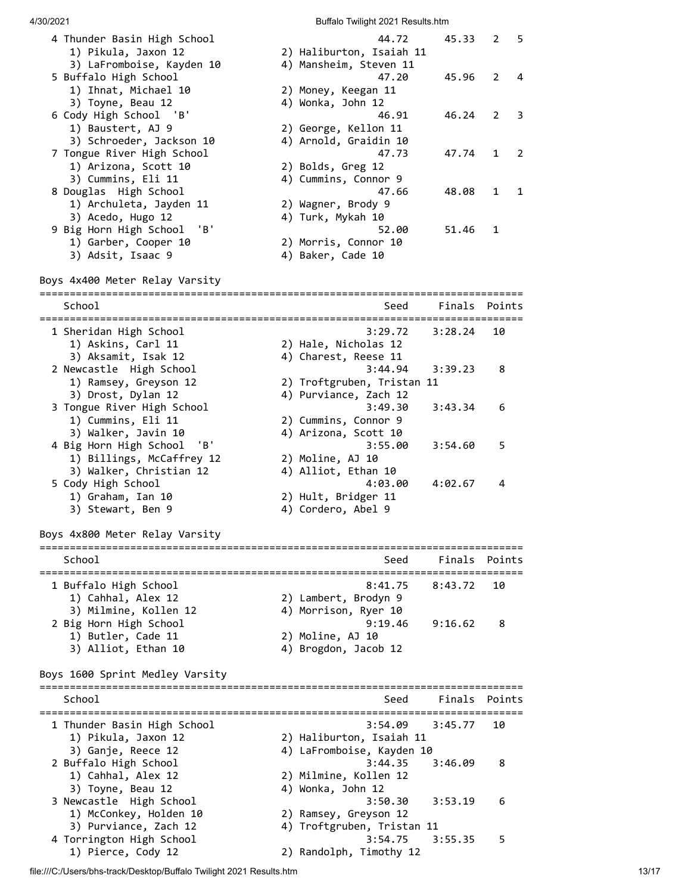| 4 Thunder Basin High School<br>1) Pikula, Jaxon 12   | 44.72<br>2) Haliburton, Isaiah 11                   | 45.33         | 2      | 5 |
|------------------------------------------------------|-----------------------------------------------------|---------------|--------|---|
| 3) LaFromboise, Kayden 10                            | 4) Mansheim, Steven 11                              |               |        |   |
| 5 Buffalo High School                                | 47.20                                               | 45.96         | 2      | 4 |
| 1) Ihnat, Michael 10<br>3) Toyne, Beau 12            | 2) Money, Keegan 11<br>4) Wonka, John 12            |               |        |   |
| 6 Cody High School 'B'                               | 46.91                                               | 46.24         | 2      | 3 |
| 1) Baustert, AJ 9                                    | 2) George, Kellon 11                                |               |        |   |
| 3) Schroeder, Jackson 10                             | 4) Arnold, Graidin 10                               |               |        |   |
| 7 Tongue River High School                           | 47.73                                               | 47.74         | 1      | 2 |
| 1) Arizona, Scott 10<br>3) Cummins, Eli 11           | 2) Bolds, Greg 12<br>4) Cummins, Connor 9           |               |        |   |
| 8 Douglas High School                                | 47.66                                               | 48.08         | 1      | 1 |
| 1) Archuleta, Jayden 11                              | 2) Wagner, Brody 9                                  |               |        |   |
| 3) Acedo, Hugo 12                                    | 4) Turk, Mykah 10                                   |               |        |   |
| 9 Big Horn High School<br>'B'                        | 52.00                                               | 51.46         | 1      |   |
| 1) Garber, Cooper 10<br>3) Adsit, Isaac 9            | 2) Morris, Connor 10<br>4) Baker, Cade 10           |               |        |   |
|                                                      |                                                     |               |        |   |
| Boys 4x400 Meter Relay Varsity                       |                                                     |               |        |   |
| School                                               | Seed                                                | Finals        | Points |   |
|                                                      |                                                     |               |        |   |
| 1 Sheridan High School                               | 3:29.72                                             | 3:28.24       | 10     |   |
| 1) Askins, Carl 11<br>3) Aksamit, Isak 12            | 2) Hale, Nicholas 12<br>4) Charest, Reese 11        |               |        |   |
| 2 Newcastle High School                              | 3:44.94                                             | 3:39.23       | 8      |   |
| 1) Ramsey, Greyson 12                                | 2) Troftgruben, Tristan 11                          |               |        |   |
| 3) Drost, Dylan 12                                   | 4) Purviance, Zach 12                               |               |        |   |
| 3 Tongue River High School                           | 3:49.30                                             | 3:43.34       | 6      |   |
| 1) Cummins, Eli 11                                   | 2) Cummins, Connor 9                                |               |        |   |
| 3) Walker, Javin 10                                  | 4) Arizona, Scott 10                                |               |        |   |
| 4 Big Horn High School<br>'B'                        | 3:55.00                                             | 3:54.60       | 5      |   |
| 1) Billings, McCaffrey 12<br>3) Walker, Christian 12 | 2) Moline, AJ 10<br>4) Alliot, Ethan 10             |               |        |   |
| 5 Cody High School                                   | 4:03.00                                             | 4:02.67       | 4      |   |
| 1) Graham, Ian 10                                    | 2) Hult, Bridger 11                                 |               |        |   |
| 3) Stewart, Ben 9                                    | 4) Cordero, Abel 9                                  |               |        |   |
| Boys 4x800 Meter Relay Varsity                       |                                                     |               |        |   |
|                                                      |                                                     |               |        |   |
| School                                               | Seed                                                | Finals        | Points |   |
| 1 Buffalo High School                                | 8:41.75                                             | 8:43.72       | 10     |   |
| 1) Cahhal, Alex 12                                   | 2) Lambert, Brodyn 9                                |               |        |   |
| 3) Milmine, Kollen 12                                | 4) Morrison, Ryer 10                                |               |        |   |
| 2 Big Horn High School                               | 9:19.46                                             | 9:16.62       | 8      |   |
| 1) Butler, Cade 11<br>3) Alliot, Ethan 10            | 2) Moline, AJ 10<br>4) Brogdon, Jacob 12            |               |        |   |
|                                                      |                                                     |               |        |   |
| Boys 1600 Sprint Medley Varsity                      |                                                     |               |        |   |
| School                                               | Seed                                                | Finals Points |        |   |
| 1 Thunder Basin High School                          | 3:54.09                                             | 3:45.77       | 10     |   |
| 1) Pikula, Jaxon 12                                  | 2) Haliburton, Isaiah 11                            |               |        |   |
| 3) Ganje, Reece 12                                   | 4) LaFromboise, Kayden 10                           |               |        |   |
| 2 Buffalo High School                                | 3:44.35                                             | 3:46.09       | 8      |   |
| 1) Cahhal, Alex 12                                   | 2) Milmine, Kollen 12                               |               |        |   |
| 3) Toyne, Beau 12                                    | 4) Wonka, John 12                                   |               |        |   |
| 3 Newcastle High School                              | 3:50.30                                             | 3:53.19       | 6      |   |
| 1) McConkey, Holden 10<br>3) Purviance, Zach 12      | 2) Ramsey, Greyson 12<br>4) Troftgruben, Tristan 11 |               |        |   |
| 4 Torrington High School                             | 3:54.75                                             | 3:55.35       | 5      |   |
| 1) Pierce, Cody 12                                   | 2) Randolph, Timothy 12                             |               |        |   |

file:///C:/Users/bhs-track/Desktop/Buffalo Twilight 2021 Results.htm 13/17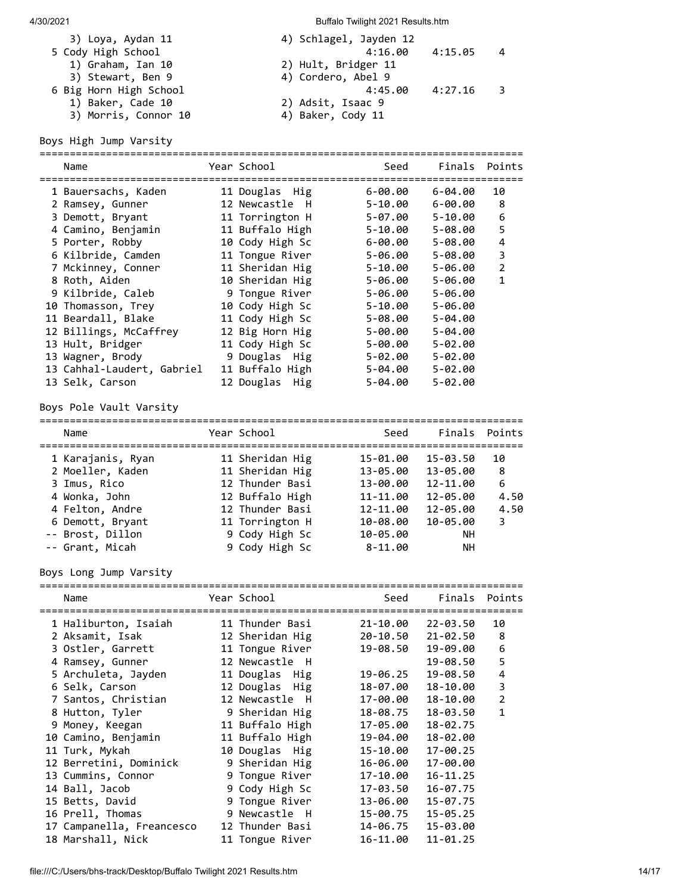| 3) Loya, Aydan 11      | 4) Schlagel, Jayden 12 |         |                |
|------------------------|------------------------|---------|----------------|
| 5 Cody High School     | 4:16.00                | 4:15.05 | - 4            |
| 1) Graham, Ian 10      | 2) Hult, Bridger 11    |         |                |
| 3) Stewart, Ben 9      | 4) Cordero, Abel 9     |         |                |
| 6 Big Horn High School | 4:45.00                | 4:27.16 | $\overline{3}$ |
| 1) Baker, Cade 10      | 2) Adsit, Isaac 9      |         |                |
| 3) Morris, Connor 10   | 4) Baker, Cody 11      |         |                |
|                        |                        |         |                |

Boys High Jump Varsity

| Name                       | Year School     | Seed        |             | Finals Points  |
|----------------------------|-----------------|-------------|-------------|----------------|
| 1 Bauersachs, Kaden        | 11 Douglas Hig  | $6 - 00.00$ | 6-04.00     | 10             |
| 2 Ramsey, Gunner           | 12 Newcastle H  | $5 - 10.00$ | 6-00.00     | 8              |
| 3 Demott, Bryant           | 11 Torrington H | 5-07.00     | 5-10.00     | 6              |
| 4 Camino, Benjamin         | 11 Buffalo High | 5-10.00     | 5-08.00     | 5              |
| 5 Porter, Robby            | 10 Cody High Sc | 6-00.00     | 5-08.00     | 4              |
| 6 Kilbride, Camden         | 11 Tongue River | 5-06.00     | 5-08.00     | 3              |
| 7 Mckinney, Conner         | 11 Sheridan Hig | 5-10.00     | 5-06.00     | $\overline{2}$ |
| 8 Roth, Aiden              | 10 Sheridan Hig | $5 - 06.00$ | $5 - 06.00$ | 1              |
| 9 Kilbride, Caleb          | 9 Tongue River  | $5 - 06.00$ | $5 - 06.00$ |                |
| 10 Thomasson, Trey         | 10 Cody High Sc | 5-10.00     | $5 - 06.00$ |                |
| 11 Beardall, Blake         | 11 Cody High Sc | 5-08.00     | $5 - 04.00$ |                |
| 12 Billings, McCaffrey     | 12 Big Horn Hig | 5-00.00     | $5 - 04.00$ |                |
| 13 Hult, Bridger           | 11 Cody High Sc | 5-00.00     | $5 - 02.00$ |                |
| 13 Wagner, Brody           | 9 Douglas Hig   | 5-02.00     | $5 - 02.00$ |                |
| 13 Cahhal-Laudert, Gabriel | 11 Buffalo High | $5 - 04.00$ | $5 - 02.00$ |                |
| 13 Selk, Carson            | 12 Douglas Hig  | 5-04.00     | $5 - 02.00$ |                |
| 8 8.1. M.M. M.W. L.        |                 |             |             |                |

Boys Pole Vault Varsity ================================================================================

| Name              | Year School     | Seed        |           | Finals Points |
|-------------------|-----------------|-------------|-----------|---------------|
| 1 Karajanis, Ryan | 11 Sheridan Hig | 15-01.00    | 15-03.50  | 10            |
| 2 Moeller, Kaden  | 11 Sheridan Hig | 13-05.00    | 13-05.00  | 8             |
| 3 Imus, Rico      | 12 Thunder Basi | 13-00.00    | 12-11.00  | 6             |
| 4 Wonka, John     | 12 Buffalo High | 11-11.00    | 12-05.00  | 4.50          |
| 4 Felton, Andre   | 12 Thunder Basi | 12-11.00    | 12-05.00  | 4.50          |
| 6 Demott, Bryant  | 11 Torrington H | 10-08.00    | 10-05.00  | 3             |
| -- Brost, Dillon  | 9 Cody High Sc  | 10-05.00    | <b>NH</b> |               |
| -- Grant, Micah   | 9 Cody High Sc  | $8 - 11.00$ | NН        |               |

Boys Long Jump Varsity

| Name                      | Year School     | Seed     |                   | Finals Points  |
|---------------------------|-----------------|----------|-------------------|----------------|
| 1 Haliburton, Isaiah      | 11 Thunder Basi |          | 21-10.00 22-03.50 | 10             |
| 2 Aksamit, Isak           | 12 Sheridan Hig | 20-10.50 | 21-02.50          | 8              |
| 3 Ostler, Garrett         | 11 Tongue River |          | 19-08.50 19-09.00 | 6              |
| 4 Ramsey, Gunner          | 12 Newcastle H  |          | 19-08.50          | 5              |
| 5 Archuleta, Jayden       | 11 Douglas Hig  | 19-06.25 | 19-08.50          | 4              |
| 6 Selk, Carson            | 12 Douglas Hig  | 18-07.00 | 18-10.00          | 3              |
| 7 Santos, Christian       | 12 Newcastle H  | 17-00.00 | 18-10.00          | $\overline{2}$ |
| 8 Hutton, Tyler           | 9 Sheridan Hig  | 18-08.75 | 18-03.50          | $\mathbf{1}$   |
| 9 Money, Keegan           | 11 Buffalo High | 17-05.00 | 18-02.75          |                |
| 10 Camino, Benjamin       | 11 Buffalo High | 19-04.00 | 18-02.00          |                |
| 11 Turk, Mykah            | 10 Douglas Hig  | 15-10.00 | $17 - 00.25$      |                |
| 12 Berretini, Dominick    | 9 Sheridan Hig  | 16-06.00 | 17-00.00          |                |
| 13 Cummins, Connor        | 9 Tongue River  | 17-10.00 | $16 - 11.25$      |                |
| 14 Ball, Jacob            | 9 Cody High Sc  | 17-03.50 | $16 - 07.75$      |                |
| 15 Betts, David           | 9 Tongue River  | 13-06.00 | $15 - 07.75$      |                |
| 16 Prell, Thomas          | 9 Newcastle H   | 15-00.75 | $15 - 05.25$      |                |
| 17 Campanella, Freancesco | 12 Thunder Basi | 14-06.75 | 15-03.00          |                |
| 18 Marshall, Nick         | 11 Tongue River | 16-11.00 | $11 - 01.25$      |                |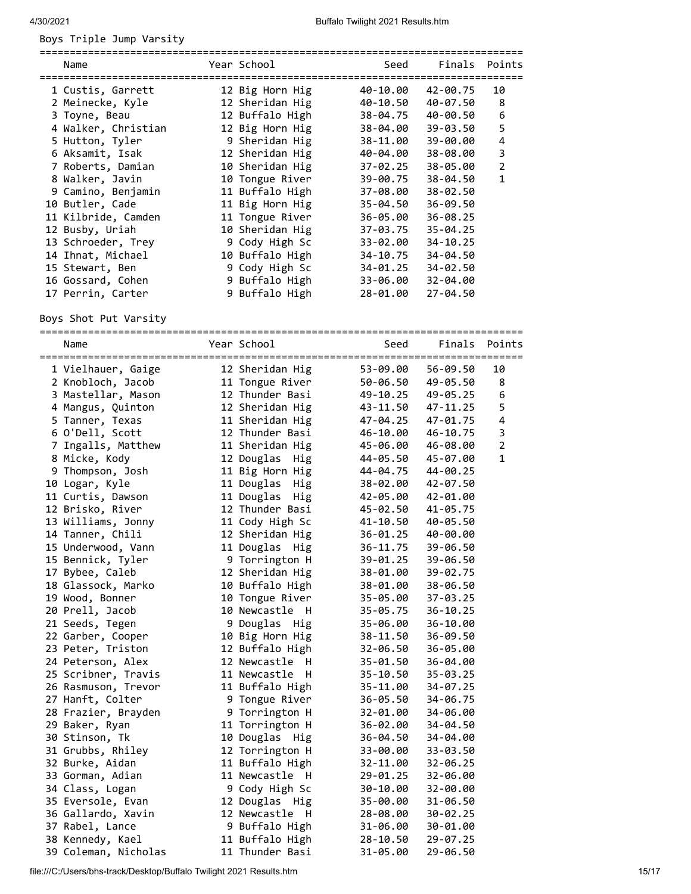Boys Triple Jump Varsity

| Name                | Year School     | Seed     | Finals Points |                |
|---------------------|-----------------|----------|---------------|----------------|
| 1 Custis, Garrett   | 12 Big Horn Hig | 40-10.00 | 42-00.75      | 10             |
| 2 Meinecke, Kyle    | 12 Sheridan Hig | 40-10.50 | 40-07.50      | 8              |
| 3 Toyne, Beau       | 12 Buffalo High | 38-04.75 | 40-00.50      | 6              |
| 4 Walker, Christian | 12 Big Horn Hig | 38-04.00 | 39-03.50      | 5              |
| 5 Hutton, Tyler     | 9 Sheridan Hig  | 38-11.00 | 39-00.00      | 4              |
| 6 Aksamit, Isak     | 12 Sheridan Hig | 40-04.00 | 38-08.00      | 3              |
| 7 Roberts, Damian   | 10 Sheridan Hig | 37-02.25 | 38-05.00      | $\overline{2}$ |
| 8 Walker, Javin     | 10 Tongue River | 39-00.75 | 38-04.50      | $\mathbf{1}$   |
| 9 Camino, Benjamin  | 11 Buffalo High | 37-08.00 | $38 - 02.50$  |                |
| 10 Butler, Cade     | 11 Big Horn Hig | 35-04.50 | $36 - 09.50$  |                |
| 11 Kilbride, Camden | 11 Tongue River | 36-05.00 | $36 - 08.25$  |                |
| 12 Busby, Uriah     | 10 Sheridan Hig | 37-03.75 | $35 - 04.25$  |                |
| 13 Schroeder, Trey  | 9 Cody High Sc  | 33-02.00 | 34-10.25      |                |
| 14 Ihnat, Michael   | 10 Buffalo High | 34-10.75 | 34-04.50      |                |
| 15 Stewart, Ben     | 9 Cody High Sc  | 34-01.25 | 34-02.50      |                |
| 16 Gossard, Cohen   | 9 Buffalo High  | 33-06.00 | 32-04.00      |                |
| 17 Perrin, Carter   | 9 Buffalo High  | 28-01.00 | 27-04.50      |                |

Boys Shot Put Varsity

================================================================================

| Name<br>============================== | ====== | Year School<br>------------ | Seed         | Finals<br>====== | Points         |
|----------------------------------------|--------|-----------------------------|--------------|------------------|----------------|
| 1 Vielhauer, Gaige                     |        | 12 Sheridan Hig             | 53-09.00     | 56-09.50         | 10             |
| 2 Knobloch, Jacob                      |        | 11 Tongue River             | 50-06.50     | 49-05.50         | 8              |
| 3 Mastellar, Mason                     |        | 12 Thunder Basi             | 49-10.25     | 49-05.25         | 6              |
| 4 Mangus, Quinton                      |        | 12 Sheridan Hig             | 43-11.50     | 47-11.25         | 5              |
| 5 Tanner, Texas                        |        | 11 Sheridan Hig             | 47-04.25     | 47-01.75         | $\pmb{4}$      |
| 6 O'Dell, Scott                        |        | 12 Thunder Basi             | 46-10.00     | 46-10.75         | 3              |
| 7 Ingalls, Matthew                     |        | 11 Sheridan Hig             | 45-06.00     | 46-08.00         | $\overline{2}$ |
| 8 Micke, Kody                          |        | 12 Douglas<br>Hig           | 44-05.50     | 45-07.00         | $\mathbf{1}$   |
| 9 Thompson, Josh                       |        | 11 Big Horn Hig             | 44-04.75     | 44-00.25         |                |
| 10 Logar, Kyle                         |        | 11 Douglas<br>Hig           | 38-02.00     | 42-07.50         |                |
| 11 Curtis, Dawson                      |        | 11 Douglas<br>Hig           | 42-05.00     | 42-01.00         |                |
| 12 Brisko, River                       |        | 12 Thunder Basi             | 45-02.50     | 41-05.75         |                |
| 13 Williams, Jonny                     |        | 11 Cody High Sc             | 41-10.50     | 40-05.50         |                |
| 14 Tanner, Chili                       |        | 12 Sheridan Hig             | 36-01.25     | 40-00.00         |                |
| 15 Underwood, Vann                     |        | 11 Douglas Hig              | 36-11.75     | 39-06.50         |                |
| 15 Bennick, Tyler                      |        | 9 Torrington H              | 39-01.25     | 39-06.50         |                |
| 17 Bybee, Caleb                        |        | 12 Sheridan Hig             | 38-01.00     | 39-02.75         |                |
| 18 Glassock, Marko                     |        | 10 Buffalo High             | 38-01.00     | 38-06.50         |                |
| 19 Wood, Bonner                        |        | 10 Tongue River             | 35-05.00     | 37-03.25         |                |
| 20 Prell, Jacob                        |        | 10 Newcastle H              | 35-05.75     | $36 - 10.25$     |                |
| 21 Seeds, Tegen                        |        | 9 Douglas Hig               | 35-06.00     | 36-10.00         |                |
| 22 Garber, Cooper                      |        | 10 Big Horn Hig             | 38-11.50     | 36-09.50         |                |
| 23 Peter, Triston                      |        | 12 Buffalo High             | 32-06.50     | 36-05.00         |                |
| 24 Peterson, Alex                      |        | 12 Newcastle<br>H           | 35-01.50     | 36-04.00         |                |
| 25 Scribner, Travis                    |        | 11 Newcastle<br>- H         | 35-10.50     | 35-03.25         |                |
| 26 Rasmuson, Trevor                    |        | 11 Buffalo High             | 35-11.00     | 34-07.25         |                |
| 27 Hanft, Colter                       |        | 9 Tongue River              | 36-05.50     | 34-06.75         |                |
| 28 Frazier, Brayden                    |        | 9 Torrington H              | 32-01.00     | 34-06.00         |                |
| 29 Baker, Ryan                         |        | 11 Torrington H             | 36-02.00     | 34-04.50         |                |
| 30 Stinson, Tk                         |        | 10 Douglas Hig              | 36-04.50     | 34-04.00         |                |
| 31 Grubbs, Rhiley                      |        | 12 Torrington H             | 33-00.00     | 33-03.50         |                |
| 32 Burke, Aidan                        |        | 11 Buffalo High             | 32-11.00     | 32-06.25         |                |
| 33 Gorman, Adian                       |        | 11 Newcastle H              | 29-01.25     | 32-06.00         |                |
| 34 Class, Logan                        |        | 9 Cody High Sc              | 30-10.00     | 32-00.00         |                |
| 35 Eversole, Evan                      |        | 12 Douglas Hig              | 35-00.00     | 31-06.50         |                |
| 36 Gallardo, Xavin                     |        | 12 Newcastle H              | 28-08.00     | 30-02.25         |                |
| 37 Rabel, Lance                        |        | 9 Buffalo High              | 31-06.00     | 30-01.00         |                |
| 38 Kennedy, Kael                       |        | 11 Buffalo High             | $28 - 10.50$ | 29-07.25         |                |
| 39 Coleman, Nicholas                   |        | 11 Thunder Basi             | 31-05.00     | 29-06.50         |                |

file:///C:/Users/bhs-track/Desktop/Buffalo Twilight 2021 Results.htm 15/17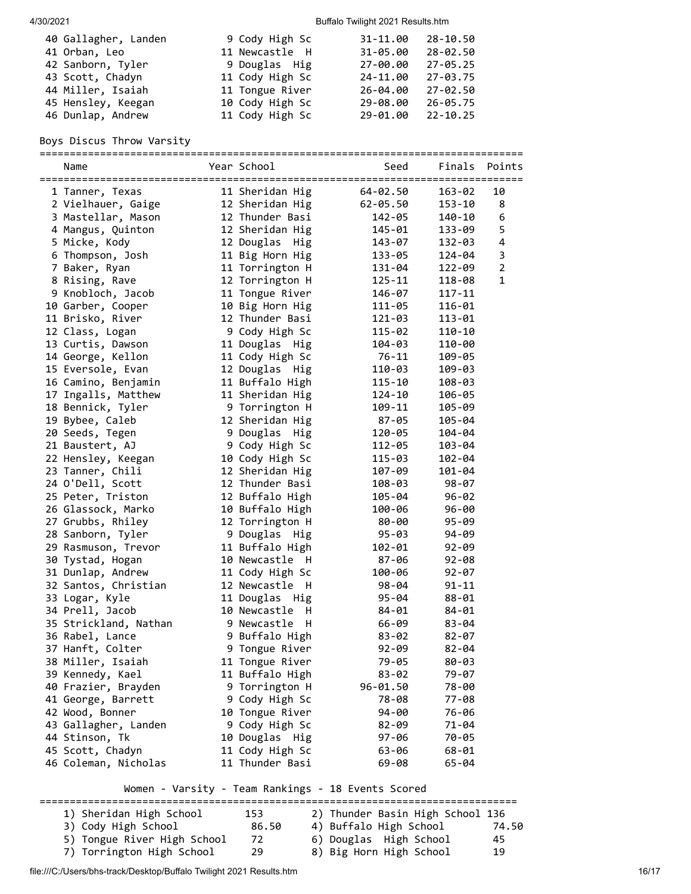| 40 Gallagher, Landen | 9 Cody High Sc  | 31-11.00     | 28-10.50     |
|----------------------|-----------------|--------------|--------------|
| 41 Orban, Leo        | 11 Newcastle H  | $31 - 05.00$ | 28-02.50     |
| 42 Sanborn, Tyler    | 9 Douglas Hig   | 27-00.00     | 27-05.25     |
| 43 Scott, Chadyn     | 11 Cody High Sc | 24-11.00     | 27-03.75     |
| 44 Miller, Isaiah    | 11 Tongue River | 26-04.00     | 27-02.50     |
| 45 Hensley, Keegan   | 10 Cody High Sc | 29-08.00     | 26-05.75     |
| 46 Dunlap, Andrew    | 11 Cody High Sc | 29-01.00     | $22 - 10.25$ |

## Boys Discus Throw Varsity

================================================================================

| Name                  | Year School       | Seed         | Finals     | Points         |
|-----------------------|-------------------|--------------|------------|----------------|
| 1 Tanner, Texas       | 11 Sheridan Hig   | 64-02.50     | 163-02     | 10             |
| 2 Vielhauer, Gaige    | 12 Sheridan Hig   | $62 - 05.50$ | 153-10     | 8              |
| 3 Mastellar, Mason    | 12 Thunder Basi   | 142-05       | 140-10     | 6              |
| 4 Mangus, Quinton     | 12 Sheridan Hig   | 145-01       | 133-09     | 5              |
| 5 Micke, Kody         | 12 Douglas Hig    | 143-07       | 132-03     | $\pmb{4}$      |
| 6 Thompson, Josh      | 11 Big Horn Hig   | 133-05       | 124-04     | 3              |
| 7 Baker, Ryan         | 11 Torrington H   | 131-04       | 122-09     | $\overline{2}$ |
| 8 Rising, Rave        | 12 Torrington H   | $125 - 11$   | 118-08     | 1              |
| 9 Knobloch, Jacob     | 11 Tongue River   | 146-07       | $117 - 11$ |                |
| 10 Garber, Cooper     | 10 Big Horn Hig   | 111-05       | 116-01     |                |
| 11 Brisko, River      | 12 Thunder Basi   | 121-03       | 113-01     |                |
| 12 Class, Logan       | 9 Cody High Sc    | $115 - 02$   | 110-10     |                |
| 13 Curtis, Dawson     | 11 Douglas Hig    | 104-03       | 110-00     |                |
| 14 George, Kellon     | 11 Cody High Sc   | $76 - 11$    | 109-05     |                |
| 15 Eversole, Evan     | 12 Douglas Hig    | 110-03       | 109-03     |                |
| 16 Camino, Benjamin   | 11 Buffalo High   | 115-10       | 108-03     |                |
| 17 Ingalls, Matthew   | 11 Sheridan Hig   | 124-10       | 106-05     |                |
| 18 Bennick, Tyler     | 9 Torrington H    | 109-11       | 105-09     |                |
| 19 Bybee, Caleb       | 12 Sheridan Hig   | 87-05        | 105-04     |                |
| 20 Seeds, Tegen       | 9 Douglas Hig     | 120-05       | 104-04     |                |
| 21 Baustert, AJ       | 9 Cody High Sc    | 112-05       | 103-04     |                |
| 22 Hensley, Keegan    | 10 Cody High Sc   | 115-03       | 102-04     |                |
| 23 Tanner, Chili      | 12 Sheridan Hig   | 107-09       | 101-04     |                |
| 24 O'Dell, Scott      | 12 Thunder Basi   | 108-03       | $98 - 07$  |                |
| 25 Peter, Triston     | 12 Buffalo High   | 105-04       | $96 - 02$  |                |
| 26 Glassock, Marko    | 10 Buffalo High   | 100-06       | $96 - 00$  |                |
| 27 Grubbs, Rhiley     | 12 Torrington H   | 80-00        | $95 - 09$  |                |
| 28 Sanborn, Tyler     | 9 Douglas Hig     | $95 - 03$    | 94-09      |                |
| 29 Rasmuson, Trevor   | 11 Buffalo High   | 102-01       | $92 - 09$  |                |
| 30 Tystad, Hogan      | 10 Newcastle H    | 87-06        | $92 - 08$  |                |
| 31 Dunlap, Andrew     | 11 Cody High Sc   | 100-06       | $92 - 07$  |                |
| 32 Santos, Christian  | 12 Newcastle<br>H | $98 - 04$    | 91-11      |                |
| 33 Logar, Kyle        | 11 Douglas Hig    | $95 - 04$    | $88 - 01$  |                |
| 34 Prell, Jacob       | 10 Newcastle<br>H | 84-01        | $84 - 01$  |                |
| 35 Strickland, Nathan | 9 Newcastle<br>H  | 66-09        | $83 - 04$  |                |
| 36 Rabel, Lance       | 9 Buffalo High    | $83 - 02$    | $82 - 07$  |                |
| 37 Hanft, Colter      | 9 Tongue River    | $92 - 09$    | $82 - 04$  |                |
| 38 Miller, Isaiah     | 11 Tongue River   | 79-05        | 80-03      |                |
| 39 Kennedy, Kael      | 11 Buffalo High   | $83 - 02$    | 79-07      |                |
| 40 Frazier, Brayden   | 9 Torrington H    | 96-01.50     | 78-00      |                |
| 41 George, Barrett    | 9 Cody High Sc    | 78-08        | 77-08      |                |
| 42 Wood, Bonner       | 10 Tongue River   | 94-00        | 76-06      |                |
| 43 Gallagher, Landen  | 9 Cody High Sc    | $82 - 09$    | 71-04      |                |
| 44 Stinson, Tk        | 10 Douglas Hig    | 97-06        | 70-05      |                |
| 45 Scott, Chadyn      | 11 Cody High Sc   | 63-06        | $68 - 01$  |                |
| 46 Coleman, Nicholas  | 11 Thunder Basi   | 69-08        | 65-04      |                |

Women - Varsity - Team Rankings - 18 Events Scored

| 1) Sheridan High School<br>3) Cody High School<br>5) Tongue River High School<br>7) Torrington High School | 153<br>86.50<br>72<br>29 | 2) Thunder Basin High School 136<br>4) Buffalo High School<br>6) Douglas High School<br>8) Big Horn High School | 74.50<br>45.<br>19 |
|------------------------------------------------------------------------------------------------------------|--------------------------|-----------------------------------------------------------------------------------------------------------------|--------------------|